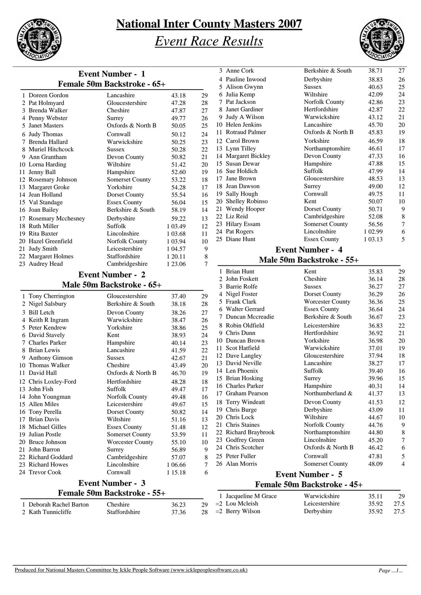

## *Event Race Results*



|                         | <b>Event Number - 1</b>     |           |    |
|-------------------------|-----------------------------|-----------|----|
|                         | Female 50m Backstroke - 65+ |           |    |
| 1 Doreen Gordon         | Lancashire                  | 43.18     | 29 |
| 2 Pat Holmyard          | Gloucestershire             | 47.28     | 28 |
| 3 Brenda Walker         | Cheshire                    | 47.87     | 27 |
| 4 Penny Webster         | Surrey                      | 49.77     | 26 |
| 5 Janet Masters         | Oxfords & North B           | 50.05     | 25 |
| 6 Judy Thomas           | Cornwall                    | 50.12     | 24 |
| 7 Brenda Hallard        | Warwickshire                | 50.25     | 23 |
| 8 Muriel Hitchcock      | Sussex                      | 50.28     | 22 |
| 9 Ann Grantham          | Devon County                | 50.82     | 21 |
| 10 Lorna Harding        | Wiltshire                   | 51.42     | 20 |
| 11 Jenny Ball           | Hampshire                   | 52.60     | 19 |
| 12 Rosemary Johnson     | <b>Somerset County</b>      | 53.22     | 18 |
| 13 Margaret Groke       | Yorkshire                   | 54.28     | 17 |
| 14 Jean Holland         | Dorset County               | 55.54     | 16 |
| 15 Val Standage         | <b>Essex County</b>         | 56.04     | 15 |
| 16 Joan Bailey          | Berkshire & South           | 58.19     | 14 |
| 17 Rosemary Mcchesney   | Derbyshire                  | 59.22     | 13 |
| 18 Ruth Miller          | Suffolk                     | 1 0 3 4 9 | 12 |
| 19 Rita Baxter          | Lincolnshire                | 1 03.68   | 11 |
| 20 Hazel Greenfield     | <b>Norfolk County</b>       | 1 03.94   | 10 |
| 21 Judy Smith           | Leicestershire              | 1 04.57   | 9  |
| 22 Margaret Holmes      | Staffordshire               | 1 20.11   | 8  |
| 23 Audrey Head          | Cambridgeshire              | 1 23.06   | 7  |
|                         | <b>Event Number - 2</b>     |           |    |
|                         | Male 50m Backstroke - 65+   |           |    |
| 1 Tony Cherrington      | Gloucestershire             | 37.40     | 29 |
| 2 Nigel Salsbury        | Berkshire & South           | 38.18     | 28 |
| 3 Bill Letch            | Devon County                | 38.26     | 27 |
| 4 Keith R Ingram        | Warwickshire                | 38.47     | 26 |
| 5 Peter Kendrew         | Yorkshire                   | 38.86     | 25 |
| 6 David Stavely         | Kent                        | 38.93     | 24 |
| 7 Charles Parker        | Hampshire                   | 40.14     | 23 |
| 8 Brian Lewis           | Lancashire                  | 41.59     | 22 |
| 9 Anthony Gimson        | <b>Sussex</b>               | 42.67     | 21 |
| 10 Thomas Walker        | Cheshire                    | 43.49     | 20 |
| 11 David Hall           | Oxfords & North B           | 46.70     | 19 |
| 12 Chris Loxlev-Ford    | Hertfordshire               | 48.28     | 18 |
| 13 John Fish            | Suffolk                     | 49.47     | 17 |
| 14 John Youngman        | Norfolk County              | 49.48     | 16 |
| 15 Allen Miles          | Leicestershire              | 49.67     | 15 |
| 16 Tony Perella         | Dorset County               | 50.82     | 14 |
| 17 Brian Davis          | Wiltshire                   | 51.16     | 13 |
| 18 Michael Gilles       | <b>Essex County</b>         | 51.48     | 12 |
| 19 Julian Postle        | Somerset County             | 53.59     | 11 |
| 20 Bruce Johnson        | <b>Worcester County</b>     | 55.10     | 10 |
| 21 John Barron          | Surrey                      | 56.89     | 9  |
| 22 Richard Goddard      | Cambridgeshire              | 57.07     | 8  |
| 23 Richard Howes        | Lincolnshire                | 1 06.66   | 7  |
| 24 Trevor Cook          | Cornwall                    | 1 15.18   | 6  |
|                         | <b>Event Number - 3</b>     |           |    |
|                         | Female 50m Backstroke - 55+ |           |    |
| 1 Deborah Rachel Barton | Cheshire                    | 36.23     | 29 |
| 2 Kath Tunnicliffe      | Staffordshire               | 37.36     | 28 |

|     | 3 Anne Cork           | Berkshire & South       | 38.71   | 27 |
|-----|-----------------------|-------------------------|---------|----|
| 4   | Pauline Inwood        | Derbyshire              | 38.83   | 26 |
|     | 5 Alison Gwynn        | <b>Sussex</b>           | 40.63   | 25 |
| 6   | Julia Kemp            | Wiltshire               | 42.09   | 24 |
| 7   | Pat Jackson           | Norfolk County          | 42.86   | 23 |
|     | 8 Janet Gardiner      | Hertfordshire           | 42.87   | 22 |
| 9   | Judy A Wilson         | Warwickshire            | 43.12   | 21 |
| 10  | Helen Jenkins         | Lancashire              | 45.70   | 20 |
| 11  | <b>Rotraud Palmer</b> | Oxfords & North B       | 45.83   | 19 |
|     | 12 Carol Brown        | Yorkshire               | 46.59   | 18 |
|     | 13 Lynn Tilley        | Northamptonshire        | 46.61   | 17 |
|     | 14 Margaret Bickley   | Devon County            | 47.33   | 16 |
|     | 15 Susan Dewar        | Hampshire               | 47.88   | 15 |
|     | 16 Sue Holdich        | Suffolk                 | 47.99   | 14 |
| 17  | Jane Brown            | Gloucestershire         | 48.53   | 13 |
|     | 18 Jean Dawson        | Surrey                  | 49.00   | 12 |
| 19. | Sally Hough           | Cornwall                | 49.75   | 11 |
| 20  | Shelley Robinso       | Kent                    | 50.07   | 10 |
|     | 21 Wendy Hooper       | Dorset County           | 50.71   | 9  |
|     | 22 Liz Reid           | Cambridgeshire          | 52.08   | 8  |
|     | 23 Hilary Essam       | <b>Somerset County</b>  | 56.56   | 7  |
|     | 24 Pat Rogers         | Lincolnshire            | 1 02.99 | 6  |
|     | 25 Diane Hunt         | <b>Essex County</b>     | 1 03.13 | 5  |
|     |                       | <b>Event Number - 4</b> |         |    |

#### **Male 50m Backstroke - 55+**

| 1                           | <b>Brian Hunt</b>       | Kent                    | 35.83 | 29 |  |
|-----------------------------|-------------------------|-------------------------|-------|----|--|
| $\mathcal{D}_{\mathcal{L}}$ | John Foskett            | Cheshire                | 36.14 | 28 |  |
|                             | 3 Barrie Rolfe          | <b>Sussex</b>           | 36.27 | 27 |  |
| 4                           | Nigel Foster            | Dorset County           | 36.29 | 26 |  |
| 5                           | <b>Frank Clark</b>      | <b>Worcester County</b> | 36.36 | 25 |  |
| 6                           | <b>Walter Gerrard</b>   | <b>Essex County</b>     | 36.64 | 24 |  |
| 7                           | Duncan Mccreadie        | Berkshire & South       | 36.67 | 23 |  |
| 8                           | Robin Oldfield          | Leicestershire          | 36.83 | 22 |  |
|                             | 9 Chris Dunn            | Hertfordshire           | 36.92 | 21 |  |
|                             | 10 Duncan Brown         | Yorkshire               | 36.98 | 20 |  |
| 11                          | Scot Hatfield           | Warwickshire            | 37.01 | 19 |  |
|                             | 12 Dave Langley         | Gloucestershire         | 37.94 | 18 |  |
|                             | 13 David Neville        | Lancashire              | 38.27 | 17 |  |
|                             | 14 Len Phoenix          | Suffolk                 | 39.40 | 16 |  |
|                             | 15 Brian Hosking        | Surrey                  | 39.96 | 15 |  |
|                             | 16 Charles Parker       | Hampshire               | 40.31 | 14 |  |
| 17                          | <b>Graham Pearson</b>   | Northumberland &        | 41.37 | 13 |  |
|                             | 18 Terry Windeatt       | Devon County            | 41.53 | 12 |  |
| 19                          | Chris Burge             | Derbyshire              | 43.09 | 11 |  |
|                             | 20 Chris Lock           | Wiltshire               | 44.67 | 10 |  |
|                             | 21 Chris Staines        | Norfolk County          | 44.76 | 9  |  |
|                             | 22 Richard Braybrook    | Northamptonshire        | 44.80 | 8  |  |
|                             | 23 Godfrey Green        | Lincolnshire            | 45.20 | 7  |  |
|                             | 24 Chris Scotcher       | Oxfords & North B       | 46.42 | 6  |  |
|                             | 25 Peter Fuller         | Cornwall                | 47.81 | 5  |  |
|                             | 26 Alan Morris          | Somerset County         | 48.09 | 4  |  |
|                             | <b>Event Number - 5</b> |                         |       |    |  |

#### **Female 50m Backstroke - 45+**

| 1 Jacqueline M Grace  | Warwickshire   | 35.11      | -29  |
|-----------------------|----------------|------------|------|
| $29 = 2$ Lou Mcleish  | Leicestershire | 35.92      | 27.5 |
| $28 = 2$ Berry Wilson | Derbyshire     | 35.92 27.5 |      |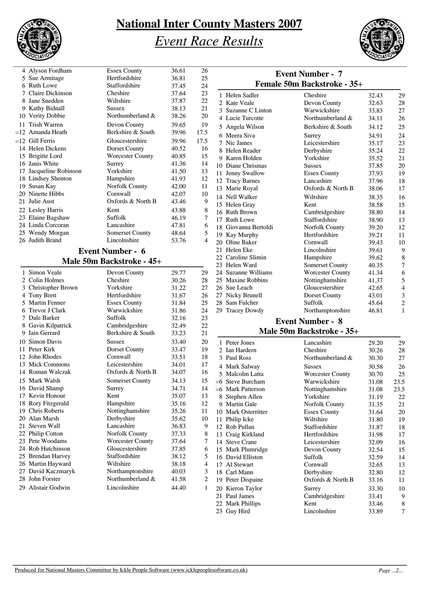

# *Event Race Results*



| 4 Alyson Fordham       | <b>Essex County</b>     | 36.61 | 26             |
|------------------------|-------------------------|-------|----------------|
| 5 Sue Armitage         | Hertfordshire           | 36.81 | 25             |
| 6 Ruth Lowe            | Staffordshire           | 37.45 | 24             |
| 7 Claire Dickinson     | Cheshire                | 37.64 | 23             |
| 8 Jane Snedden         | Wiltshire               | 37.87 | 22             |
| 9 Kathy Bidnall        | <b>Sussex</b>           | 38.13 | 21             |
| 10 Verity Dobbie       | Northumberland &        | 38.26 | 20             |
| 11 Trish Warren        | Devon County            | 39.65 | 19             |
| $=12$ Amanda Heath     | Berkshire & South       | 39.96 | 17.5           |
| $=12$ Gill Ferris      | Gloucestershire         | 39.96 | 17.5           |
| 14 Helen Dickens       | Dorset County           | 40.52 | 16             |
| 15 Brigitte Lord       | <b>Worcester County</b> | 40.85 | 15             |
| 16 Janis White         | Surrey                  | 41.36 | 14             |
| 17 Jacqueline Robinson | Yorkshire               | 41.50 | 13             |
| 18 Lindsey Shenton     | Hampshire               | 41.93 | 12             |
| 19 Susan Kay           | Norfolk County          | 42.00 | 11             |
| 20 Ninette Hibbs       | Cornwall                | 42.07 | 10             |
| Julie Aust<br>21       | Oxfords & North B       | 43.46 | 9              |
| 22 Lesley Harris       | Kent                    | 43.88 | 8              |
| 23 Elaine Bagshaw      | Suffolk                 | 46.19 | 7              |
| 24 Linda Corcoran      | Lancashire              | 47.81 | 6              |
| 25 Wendy Morgan        | <b>Somerset County</b>  | 48.64 | 5              |
| 26 Judith Brand        | Lincolnshire            | 53.76 | $\overline{4}$ |
|                        |                         |       |                |

#### **Event Number - 6 Male 50m Backstroke - 45+**

| 1 | Simon Veale        | Devon County            | 29.77 | 29                      |
|---|--------------------|-------------------------|-------|-------------------------|
|   | 2 Colin Holmes     | Cheshire                | 30.26 | 28                      |
| 3 | Christopher Brown  | Yorkshire               | 31.22 | 27                      |
|   | 4 Tony Brett       | Hertfordshire           | 31.67 | 26                      |
|   | 5 Martin Fenner    | <b>Essex County</b>     | 31.84 | 25                      |
|   | 6 Trevor J Clark   | Warwickshire            | 31.86 | 24                      |
|   | 7 Dale Barker      | Suffolk                 | 32.16 | 23                      |
|   | 8 Gavin Kilpatrick | Cambridgeshire          | 32.49 | 22                      |
|   | 9 Iain Gerrard     | Berkshire & South       | 33.23 | 21                      |
|   | 10 Simon Davis     | <b>Sussex</b>           | 33.40 | 20                      |
|   | 11 Peter Kirk      | Dorset County           | 33.47 | 19                      |
|   | 12 John Rhodes     | Cornwall                | 33.51 | 18                      |
|   | 13 Mick Commons    | Leicestershire          | 34.01 | 17                      |
|   | 14 Roman Walczak   | Oxfords & North B       | 34.07 | 16                      |
|   | 15 Mark Walsh      | <b>Somerset County</b>  | 34.13 | 15                      |
|   | 16 David Shamp     | Surrey                  | 34.71 | 14                      |
|   | 17 Kevin Honour    | Kent                    | 35.07 | 13                      |
|   | 18 Rory Fitzgerald | Hampshire               | 35.16 | 12                      |
|   | 19 Chris Roberts   | Nottinghamshire         | 35.26 | 11                      |
|   | 20 Alan Marsh      | Derbyshire              | 35.62 | 10                      |
|   | 21 Steven Wall     | Lancashire              | 36.83 | 9                       |
|   | 22 Philip Cotton   | Norfolk County          | 37.33 | 8                       |
|   | 23 Pete Woodams    | <b>Worcester County</b> | 37.64 | 7                       |
|   | 24 Rob Hutchinson  | Gloucestershire         | 37.85 | 6                       |
|   | 25 Brendan Harvey  | Staffordshire           | 38.12 | 5                       |
|   | 26 Martin Hayward  | Wiltshire               | 38.18 | $\overline{4}$          |
|   | 27 David Kaczmaryk | Northamptonshire        | 40.03 | 3                       |
|   | 28 John Forster    | Northumberland &        | 41.58 | $\overline{\mathbf{c}}$ |
|   | 29 Alistair Godwin | Lincolnshire            | 44.40 | 1                       |
|   |                    |                         |       |                         |

|                      | <b>Event Number - 7</b><br>Female 50m Backstroke - 35+ |       |                |
|----------------------|--------------------------------------------------------|-------|----------------|
| 1 Helen Sadler       | Cheshire                                               | 32.43 | 29             |
| 2 Kate Veale         | Devon County                                           | 32.63 | 28             |
| 3 Suzanne C Linton   | Warwickshire                                           | 33.83 | 27             |
| 4 Lucie Turcotte     | Northumberland &                                       | 34.11 | 26             |
| 5 Angela Wilson      | Berkshire & South                                      | 34.12 | 25             |
| 6 Meera Siva         | Surrey                                                 | 34.91 | 24             |
| 7 Nic James          | Leicestershire                                         | 35.17 | 23             |
| 8 Helen Reader       | Derbyshire                                             | 35.24 | 22             |
| 9 Karen Holden       | Yorkshire                                              | 35.52 | 21             |
| 10 Diane Chrismas    | <b>Sussex</b>                                          | 37.85 | 20             |
| 11 Jenny Swallow     | <b>Essex County</b>                                    | 37.93 | 19             |
| 12 Tracy Barnes      | Lancashire                                             | 37.96 | 18             |
| 13 Marie Royal       | Oxfords & North B                                      | 38.06 | 17             |
| 14 Nell Walker       | Wiltshire                                              | 38.35 | 16             |
| 15 Helen Gray        | Kent                                                   | 38.58 | 15             |
| 16 Ruth Brown        | Cambridgeshire                                         | 38.80 | 14             |
| 17 Ruth Lowe         | Staffordshire                                          | 38.90 | 13             |
| 18 Giovanna Bertoldi | Norfolk County                                         | 39.20 | 12             |
| 19 Kay Murphy        | Hertfordshire                                          | 39.21 | 11             |
| 20 Oline Baker       | Cornwall                                               | 39.43 | 10             |
| 21 Helen Eke         | Lincolnshire                                           | 39.61 | 9              |
| 22 Caroline Slimin   | Hampshire                                              | 39.62 | 8              |
| 23 Helen Ward        | <b>Somerset County</b>                                 | 40.35 | 7              |
| 24 Suzanne Williams  | <b>Worcester County</b>                                | 41.34 | 6              |
| 25 Maxine Robbins    | Nottinghamshire                                        | 41.37 | 5              |
| 26 Sue Leach         | Gloucestershire                                        | 42.65 | $\overline{4}$ |
| 27 Nicky Brunell     | Dorset County                                          | 43.01 | 3              |
| 28 Sam Fulcher       | Suffolk                                                | 45.64 | $\overline{c}$ |
| 29 Tracey Dowdy      | Northamptonshire                                       | 46.81 | 1              |

#### **Event Number - 8 Male 50m Backstroke - 35+**

|                | 1 Peter Jones         | Lancashire              | 29.20 | 29   |
|----------------|-----------------------|-------------------------|-------|------|
| $\mathfrak{D}$ | Ian Hardern           | Cheshire                | 30.26 | 28   |
|                | 3 Paul Ross           | Northumberland &        | 30.30 | 27   |
|                | Mark Salway           | Sussex                  | 30.58 | 26   |
| 5              | Malcolm Latta         | <b>Worcester County</b> | 30.70 | 25   |
| $= 6$          | <b>Steve Burcham</b>  | Warwickshire            | 31.08 | 23.5 |
| $= 6$          | <b>Mark Patterson</b> | Nottinghamshire         | 31.08 | 23.5 |
| 8              | Stephen Allen         | Yorkshire               | 31.19 | 22   |
| 9              | <b>Martin Gale</b>    | Norfolk County          | 31.35 | 21   |
|                | 10 Mark Osterritter   | <b>Essex County</b>     | 31.64 | 20   |
| 11             | Philip Icke           | Wiltshire               | 31.80 | 19   |
|                | 12 Rob Pullan         | Staffordshire           | 31.87 | 18   |
|                | 13 Craig Kirkland     | Hertfordshire           | 31.98 | 17   |
|                | 14 Steve Crane        | Leicestershire          | 32.09 | 16   |
|                | 15 Mark Plumridge     | Devon County            | 32.54 | 15   |
|                | 16 David Elliston     | <b>Suffolk</b>          | 32.59 | 14   |
|                | 17 Al Stewart         | Cornwall                | 32.65 | 13   |
|                | 18 Carl Mann          | Derbyshire              | 32.80 | 12   |
| 19             | Peter Dispaine        | Oxfords & North B       | 33.16 | 11   |
|                | 20 Kieron Taylor      | Surrey                  | 33.30 | 10   |
|                | 21 Paul James         | Cambridgeshire          | 33.41 | 9    |
|                | 22 Mark Phillips      | Kent                    | 33.46 | 8    |
|                | 23 Guy Hird           | Lincolnshire            | 33.89 | 7    |
|                |                       |                         |       |      |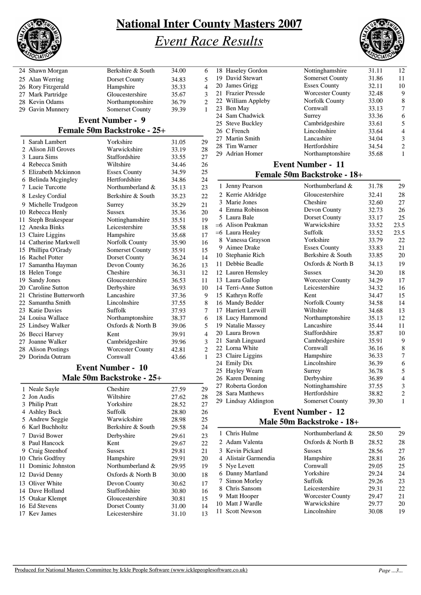

# *Event Race Results*



|     | 24 Shawn Morgan          | Berkshire & South           | 34.00 | 6              |
|-----|--------------------------|-----------------------------|-------|----------------|
|     | 25 Alan Werring          | Dorset County               | 34.83 | 5              |
|     | 26 Rory Fitzgerald       | Hampshire                   | 35.33 | 4              |
|     | 27 Mark Partridge        | Gloucestershire             | 35.67 | 3              |
|     | 28 Kevin Odams           | Northamptonshire            | 36.79 | $\overline{c}$ |
|     | 29 Gavin Munnery         | <b>Somerset County</b>      | 39.39 | 1              |
|     |                          | <b>Event Number - 9</b>     |       |                |
|     |                          | Female 50m Backstroke - 25+ |       |                |
|     | 1 Sarah Lambert          | Yorkshire                   | 31.05 | 29             |
|     | 2 Alison Jill Groves     | Warwickshire                | 33.19 | 28             |
|     | 3 Laura Sims             | Staffordshire               | 33.55 | 27             |
|     | 4 Rebecca Smith          | Wiltshire                   | 34.46 | 26             |
|     | 5 Elizabeth Mckinnon     | <b>Essex County</b>         | 34.59 | 25             |
|     | 6 Belinda Mcgingley      | Hertfordshire               | 34.86 | 24             |
|     | 7 Lucie Turcotte         | Northumberland &            | 35.13 | 23             |
|     | 8 Lesley Cordial         | Berkshire & South           | 35.23 | 22             |
|     | 9 Michelle Trudgeon      | Surrey                      | 35.29 | 21             |
|     | 10 Rebecca Henly         | Sussex                      | 35.36 | 20             |
| 11- | Steph Brakespear         | Nottinghamshire             | 35.51 | 19             |
|     | 12 Aneska Binks          | Leicestershire              | 35.58 | 18             |
|     | 13 Claire Liggins        | Hampshire                   | 35.68 | 17             |
|     | 14 Catherine Markwell    | Norfolk County              | 35.90 | 16             |
|     | 15 Phillipa O'Grady      | <b>Somerset County</b>      | 35.91 | 15             |
|     | 16 Rachel Potter         | Dorset County               | 36.24 | 14             |
|     | 17 Samantha Hayman       | Devon County                | 36.26 | 13             |
|     | 18 Helen Tonge           | Cheshire                    | 36.31 | 12             |
|     | 19 Sandy Jones           | Gloucestershire             | 36.53 | 11             |
|     | 20 Caroline Sutton       | Derbyshire                  | 36.93 | 10             |
|     | 21 Christine Butterworth | Lancashire                  | 37.36 | 9              |
|     | 22 Samantha Smith        | Lincolnshire                | 37.55 | 8              |
|     | 23 Katie Davies          | Suffolk                     | 37.93 | 7              |
|     | 24 Louisa Wallace        | Northamptonshire            | 38.37 | 6              |
|     | 25 Lindsey Walker        | Oxfords & North B           | 39.06 | 5              |
|     | 26 Becci Harvey          | Kent                        | 39.91 | $\overline{4}$ |
|     | 27 Joanne Walker         | Cambridgeshire              | 39.96 | 3              |
|     | 28 Alison Postings       | Worcester County            | 42.81 | $\overline{c}$ |
|     | 29 Dorinda Outram        | Cornwall                    | 43.66 | 1              |
|     |                          | <b>Event Number - 10</b>    |       |                |
|     |                          | Male 50m Backstroke - 25+   |       |                |
|     | 1 Noale Savle            | Chochiro                    | 27.50 | 20             |

|   | 1 Neale Sayle       | Cheshire           | 27.59 | 29 |
|---|---------------------|--------------------|-------|----|
|   | 2 Jon Audis         | Wiltshire          | 27.62 | 28 |
|   | 3 Philip Pratt      | Yorkshire          | 28.52 | 27 |
|   | 4 Ashley Buck       | Suffolk            | 28.80 | 26 |
|   | 5 Andrew Seggie     | Warwickshire       | 28.98 | 25 |
|   | 6 Karl Buchholtz    | Berkshire & South  | 29.58 | 24 |
|   | 7 David Bower       | Derbyshire         | 29.61 | 23 |
|   | 8 Paul Hancock      | Kent               | 29.67 | 22 |
| 9 | Craig Steenhof      | <b>Sussex</b>      | 29.81 | 21 |
|   | 10 Chris Godfrey    | Hampshire          | 29.91 | 20 |
|   | 11 Dominic Johnston | Northumberland $&$ | 29.95 | 19 |
|   | 12 David Denny      | Oxfords & North B  | 30.00 | 18 |
|   | 13 Oliver White     | Devon County       | 30.62 | 17 |
|   | 14 Dave Holland     | Staffordshire      | 30.80 | 16 |
|   | 15 Otakar Klempt    | Gloucestershire    | 30.81 | 15 |
|   | 16 Ed Stevens       | Dorset County      | 31.00 | 14 |
|   | 17 Kev James        | Leicestershire     | 31.10 | 13 |
|   |                     |                    |       |    |

| 18 Haseley Gordon    | Nottinghamshire             | 31.11 | 12             |
|----------------------|-----------------------------|-------|----------------|
| 19 David Stewart     | <b>Somerset County</b>      | 31.86 | 11             |
| 20 James Grigg       | <b>Essex County</b>         | 32.11 | 10             |
| 21 Frazier Pressde   | <b>Worcester County</b>     | 32.48 | 9              |
| 22 William Appleby   | Norfolk County              | 33.00 | 8              |
| 23 Ben May           | Cornwall                    | 33.13 | 7              |
| 24 Sam Chadwick      | Surrey                      | 33.36 | 6              |
| 25 Steve Buckley     | Cambridgeshire              | 33.61 | 5              |
| 26 C French          | Lincolnshire                | 33.64 | $\overline{4}$ |
| 27 Martin Smith      | Lancashire                  | 34.04 | $\mathfrak{Z}$ |
| 28 Tim Warner        | Hertfordshire               | 34.54 | 2              |
| 29 Adrian Homer      | Northamptonshire            | 35.68 | 1              |
|                      | <b>Event Number - 11</b>    |       |                |
|                      | Female 50m Backstroke - 18+ |       |                |
|                      |                             |       |                |
| 1 Jenny Pearson      | Northumberland &            | 31.78 | 29             |
| 2 Kerrie Aldridge    | Gloucestershire             | 32.41 | 28             |
| 3 Marie Jones        | Cheshire                    | 32.60 | 27             |
| 4 Emma Robinson      | Devon County                | 32.73 | 26             |
| 5 Laura Bale         | <b>Dorset County</b>        | 33.17 | 25             |
| $=6$ Alison Peakman  | Warwickshire                | 33.52 | 23.5           |
| =6 Laura Healey      | Suffolk                     | 33.52 | 23.5           |
| 8 Vanessa Grayson    | Yorkshire                   | 33.79 | 22             |
| 9 Aimee Drake        | <b>Essex County</b>         | 33.83 | 21             |
| 10 Stephanie Rich    | Berkshire & South           | 33.85 | 20             |
| 11 Debbie Beadle     | Oxfords & North B           | 34.13 | 19             |
| 12 Lauren Hemsley    | <b>Sussex</b>               | 34.20 | 18             |
| 13 Laura Gallop      | <b>Worcester County</b>     | 34.29 | 17             |
| 14 Terri-Anne Sutton | Leicestershire              | 34.32 | 16             |
| 15 Kathryn Roffe     | Kent                        | 34.47 | 15             |
| 16 Mandy Bedder      | Norfolk County              | 34.58 | 14             |
| 17 Harriett Lerwill  | Wiltshire                   | 34.68 | 13             |
| 18 Lucy Hammond      | Northamptonshire            | 35.13 | 12             |
| 19 Natalie Massey    | Lancashire                  | 35.44 | 11             |
| 20 Laura Brown       | Staffordshire               | 35.87 | 10             |
| 21 Sarah Linguard    | Cambridgeshire              | 35.91 | 9              |
| 22 Lorna White       | Cornwall                    | 36.16 | $\,$ 8 $\,$    |
| 23 Claire Liggins    | Hampshire                   | 36.33 | 7              |
| 24 Emily Dix         | Lincolnshire                | 36.39 | 6              |
| 25 Hayley Wearn      | Surrey                      | 36.78 | 5              |
| 26 Karen Denning     | Derbyshire                  | 36.89 | $\overline{4}$ |
| 27 Roberta Gordon    | Nottinghamshire             | 37.55 | 3              |
| 28 Sara Matthews     | Hertfordshire               | 38.82 | $\sqrt{2}$     |
| 29 Lindsay Aldington | <b>Somerset County</b>      | 39.30 | 1              |
|                      |                             |       |                |

#### **Event Number - 12 Male 50m Backstroke - 18+**

| 1 Chris Hulme        | Northumberland &        | 28.50 | 29 |
|----------------------|-------------------------|-------|----|
| 2 Adam Valenta       | Oxfords & North B       | 28.52 | 28 |
| 3 Kevin Pickard      | <b>Sussex</b>           | 28.56 | 27 |
| 4 Alistair Garmendia | Hampshire               | 28.81 | 26 |
| 5 Nye Levett         | Cornwall                | 29.05 | 25 |
| 6 Danny Martland     | Yorkshire               | 29.24 | 24 |
| 7 Simon Morley       | Suffolk                 | 29.26 | 23 |
| 8 Chris Sansom       | Leicestershire          | 29.31 | 22 |
| 9 Matt Hooper        | <b>Worcester County</b> | 29.47 | 21 |
| 10 Matt J Wardle     | Warwickshire            | 29.77 | 20 |
| 11 Scott Newson      | Lincolnshire            | 30.08 | 19 |
|                      |                         |       |    |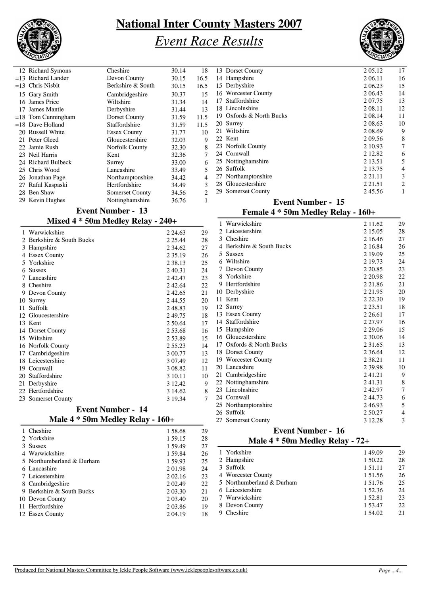

# *Event Race Results*



| 12 Richard Symons    | Cheshire               | 30.14 | 18             |
|----------------------|------------------------|-------|----------------|
| $=13$ Richard Lander | Devon County           | 30.15 | 16.5           |
| $=13$ Chris Nisbit   | Berkshire & South      | 30.15 | 16.5           |
| 15 Gary Smith        | Cambridgeshire         | 30.37 | 15             |
| 16 James Price       | Wiltshire              | 31.34 | 14             |
| 17 James Mantle      | Derbyshire             | 31.44 | 13             |
| $=18$ Tom Cunningham | Dorset County          | 31.59 | 11.5           |
| $=18$ Dave Holland   | Staffordshire          | 31.59 | 11.5           |
| 20 Russell White     | <b>Essex County</b>    | 31.77 | 10             |
| 21 Peter Gleed       | Gloucestershire        | 32.03 | 9              |
| 22 Jamie Rush        | Norfolk County         | 32.30 | 8              |
| 23 Neil Harris       | Kent                   | 32.36 | 7              |
| 24 Richard Bulbeck   | Surrey                 | 33.00 | 6              |
| 25 Chris Wood        | Lancashire             | 33.49 | 5              |
| 26 Jonathan Page     | Northamptonshire       | 34.42 | $\overline{4}$ |
| 27 Rafal Kaspaski    | Hertfordshire          | 34.49 | 3              |
| 28 Ben Shaw          | <b>Somerset County</b> | 34.56 | $\overline{2}$ |
| 29 Kevin Hughes      | Nottinghamshire        | 36.76 | 1              |
|                      |                        |       |                |

### **Event Number - 13**

| Mixed 4 * 50m Medley Relay - 240+ |  |  |  |  |
|-----------------------------------|--|--|--|--|
|-----------------------------------|--|--|--|--|

|    | 1 Warwickshire          | 2 24.63     | 29 |
|----|-------------------------|-------------|----|
| 2. | Berkshire & South Bucks | 2 2 5 . 4 4 | 28 |
| 3  | Hampshire               | 2 34.62     | 27 |
|    | <b>Essex County</b>     | 2 3 5 1 9   | 26 |
|    | 5 Yorkshire             | 2 3 8 1 3   | 25 |
| 6  | <b>Sussex</b>           | 2 4 0.31    | 24 |
|    | 7 Lancashire            | 242.47      | 23 |
|    | 8 Cheshire              | 242.64      | 22 |
| 9  | Devon County            | 242.65      | 21 |
|    | 10 Surrey               | 244.55      | 20 |
| 11 | Suffolk                 | 248.83      | 19 |
|    | 12 Gloucestershire      | 249.75      | 18 |
|    | 13 Kent                 | 2 50.64     | 17 |
|    | 14 Dorset County        | 2 53.68     | 16 |
|    | 15 Wiltshire            | 2 53.89     | 15 |
|    | 16 Norfolk County       | 2 55.23     | 14 |
|    | 17 Cambridgeshire       | 3 00.77     | 13 |
|    | 18 Leicestershire       | 3 0 7.49    | 12 |
|    | 19 Cornwall             | 3 08.82     | 11 |
|    | 20 Staffordshire        | 3 10.11     | 10 |
|    | 21 Derbyshire           | 3 12.42     | 9  |
|    | 22 Hertfordshire        | 3 14.62     | 8  |
|    | 23 Somerset County      | 3 19.34     | 7  |
|    |                         |             |    |

#### **Event Number - 14 Male 4 \* 50m Medley Relay - 160+**

| 1 Cheshire                | 1 58.68   | 29 |
|---------------------------|-----------|----|
| 2 Yorkshire               | 1 59.15   | 28 |
| 3 Sussex                  | 1 59.49   | 27 |
| 4 Warwickshire            | 1 59.84   | 26 |
| 5 Northumberland & Durham | 1 59.93   | 25 |
| 6 Lancashire              | 201.98    | 24 |
| 7 Leicestershire          | 2 02.16   | 23 |
| 8 Cambridgeshire          | 2 0 2.49  | 22 |
| 9 Berkshire & South Bucks | 2 03.30   | 21 |
| 10 Devon County           | 2 0 3 4 0 | 20 |
| 11 Hertfordshire          | 2 03.86   | 19 |
| 12 Essex County           | 2 04.19   | 18 |
|                           |           |    |

| 13 Dorset County         | 2 05.12     | 17 |
|--------------------------|-------------|----|
| 14 Hampshire             | 2 06.11     | 16 |
| 15 Derbyshire            | 2 06.23     | 15 |
| 16 Worcester County      | 2 0 6 4 3   | 14 |
| 17 Staffordshire         | 2 0 7 . 7 5 | 13 |
| 18 Lincolnshire          | 2 08.11     | 12 |
| 19 Oxfords & North Bucks | 2 08.14     | 11 |
| 20 Surrey                | 2 08.63     | 10 |
| 21 Wiltshire             | 2 08.69     | 9  |
| 22. Kent                 | 2 09.56     | 8  |
| 23 Norfolk County        | 2 10.93     | 7  |
| 24 Cornwall              | 2 12.82     | 6  |
| 25 Nottinghamshire       | 2 13.51     | 5  |
| 26 Suffolk               | 2 13.75     | 4  |
| 27 Northamptonshire      | 2 2 1 . 1 1 | 3  |
| 28 Gloucestershire       | 2 2 1 .5 1  | 2  |
| 29 Somerset County       | 245.56      | 1  |
|                          |             |    |

#### **Event Number - 15 Female 4 \* 50m Medley Relay - 160+**

|    | $\sum_{i=1}^{n}$<br>$\sim$ one extracted around |             |    |
|----|-------------------------------------------------|-------------|----|
|    | 1 Warwickshire                                  | 2 11.62     | 29 |
|    | Leicestershire                                  | 2 15.05     | 28 |
|    | 3 Cheshire                                      | 2 16.46     | 27 |
|    | 4 Berkshire & South Bucks                       | 2 16.84     | 26 |
| 5  | <b>Sussex</b>                                   | 2 19.09     | 25 |
|    | 6 Wiltshire                                     | 2 19.73     | 24 |
| 7  | Devon County                                    | 2 2 0.85    | 23 |
|    | 8 Yorkshire                                     | 2 2 0.98    | 22 |
|    | 9 Hertfordshire                                 | 2 2 1.86    | 21 |
|    | 10 Derbyshire                                   | 2 2 1 .95   | 20 |
| 11 | Kent                                            | 2 2 2 . 3 0 | 19 |
|    | 12 Surrey                                       | 2 2 3 .51   | 18 |
|    | 13 Essex County                                 | 2 2 6 . 6 1 | 17 |
|    | 14 Staffordshire                                | 2 27.97     | 16 |
|    | 15 Hampshire                                    | 2 2 9 .0 6  | 15 |
|    | 16 Gloucestershire                              | 2 30.06     | 14 |
|    | 17 Oxfords & North Bucks                        | 2 3 1 .65   | 13 |
|    | 18 Dorset County                                | 2 3 6 . 6 4 | 12 |
|    | 19 Worcester County                             | 2 3 8 . 2 1 | 11 |
|    | 20 Lancashire                                   | 2 39.98     | 10 |
|    | 21 Cambridgeshire                               | 241.21      | 9  |
|    | 22 Nottinghamshire                              | 241.31      | 8  |
|    | 23 Lincolnshire                                 | 242.97      | 7  |
|    | 24 Cornwall                                     | 244.73      | 6  |
|    | 25 Northamptonshire                             | 246.93      | 5  |
|    | 26 Suffolk                                      | 2 50.27     | 4  |
|    | 27 Somerset County                              | 3 12.28     | 3  |
|    |                                                 |             |    |

#### **Event Number - 16**

### **Male 4 \* 50m Medley Relay - 72+**

| 1 Yorkshire               | 149.09  | 29  |
|---------------------------|---------|-----|
| 2 Hampshire               | 1 50.22 | 28  |
| 3 Suffolk                 | 151.11  | 27  |
| 4 Worcester County        | 1 51.56 | 26  |
| 5 Northumberland & Durham | 1 51.76 | 25  |
| 6 Leicestershire          | 1 52.36 | 24  |
| 7 Warwickshire            | 1 52.81 | 23  |
| 8 Devon County            | 1 53.47 | 22. |
| Cheshire                  | 1 54.02 | 21  |
|                           |         |     |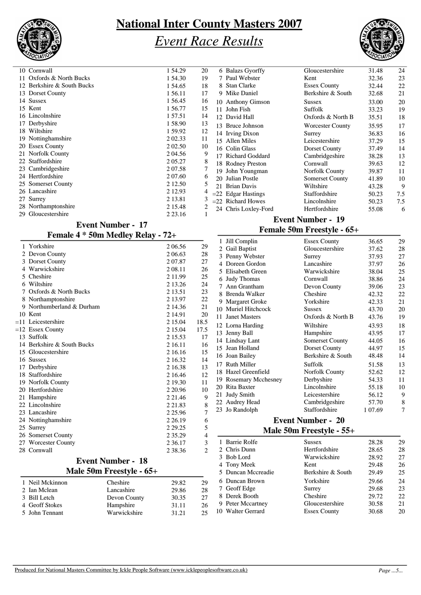

## *Event Race Results*



|     | 10 Cornwall                | 1 54.29     | 20 | 6 Balazs Gyorffy     |
|-----|----------------------------|-------------|----|----------------------|
| 11. | Oxfords & North Bucks      | 1 54.30     | 19 | 7 Paul Webster       |
|     | 12 Berkshire & South Bucks | 1 54.65     | 18 | 8 Stan Clarke        |
|     | 13 Dorset County           | 1 56.11     | 17 | 9 Mike Daniel        |
|     | 14 Sussex                  | 1 56.45     | 16 | 10 Anthony Gimso     |
|     | 15 Kent                    | 1 56.77     | 15 | 11 John Fish         |
|     | 16 Lincolnshire            | 1 57.51     | 14 | 12 David Hall        |
|     | 17 Derbyshire              | 1 58.90     | 13 | 13 Bruce Johnson     |
|     | 18 Wiltshire               | 1 59.92     | 12 | 14 Irving Dixon      |
|     | 19 Nottinghamshire         | 2 02.33     | 11 | 15 Allen Miles       |
|     | 20 Essex County            | 2 0 2 .50   | 10 | 16 Colin Glass       |
|     | 21 Norfolk County          | 2 04.56     | 9  | 17 Richard Godda     |
|     | 22 Staffordshire           | 2 05.27     | 8  | 18 Rodney Prestor    |
|     | 23 Cambridgeshire          | 2 07.58     |    | 19 John Youngma      |
|     | 24 Hertfordshire           | 2 07.60     | 6  | 20 Julian Postle     |
|     | 25 Somerset County         | 2 12.50     | 5  | 21 Brian Davis       |
|     | 26 Lancashire              | 2 12.93     |    | $=22$ Edgar Hastings |
|     | 27 Surrey                  | 2 13.81     | 3  | $=$ 22 Richard Howes |
|     | 28 Northamptonshire        | 2 15.48     |    | 24 Chris Loxley-F    |
|     | 29 Gloucestershire         | 2 2 3 . 1 6 | -1 |                      |
|     |                            |             |    |                      |

| 6 Balazs Gyorffy      | Gloucestershire         | 31.48 | 24  |
|-----------------------|-------------------------|-------|-----|
| 7 Paul Webster        | Kent                    | 32.36 | 23  |
| 8 Stan Clarke         | <b>Essex County</b>     | 32.44 | 22  |
| 9 Mike Daniel         | Berkshire & South       | 32.68 | 21  |
| 10 Anthony Gimson     | <b>Sussex</b>           | 33.00 | 20  |
| 11 John Fish          | <b>Suffolk</b>          | 33.23 | 19  |
| 12 David Hall         | Oxfords & North B       | 35.51 | 18  |
| 13 Bruce Johnson      | <b>Worcester County</b> | 35.95 | 17  |
| 14 Irving Dixon       | Surrey                  | 36.83 | 16  |
| 15 Allen Miles        | Leicestershire          | 37.29 | 15  |
| 16 Colin Glass        | Dorset County           | 37.49 | 14  |
| 17 Richard Goddard    | Cambridgeshire          | 38.28 | 13  |
| 18 Rodney Preston     | Cornwall                | 39.63 | 12  |
| 19 John Youngman      | Norfolk County          | 39.87 | 11  |
| Julian Postle         | Somerset County         | 41.89 | 10  |
| 21 Brian Davis        | Wiltshire               | 43.28 | 9   |
| $=$ 22 Edgar Hastings | Staffordshire           | 50.23 | 7.5 |
| $=$ 22 Richard Howes  | Lincolnshire            | 50.23 | 7.5 |
| 24 Chris Loxley-Ford  | Hertfordshire           | 55.08 | 6   |
|                       |                         |       |     |

### **Event Number - 17**

### **Female 4 \* 50m Medley Relay - 72+**

| $\sum_{i=1}^{n}$           | $\mathbf{v}$ only relately<br>$\mathbf{r}$ |             |                          |
|----------------------------|--------------------------------------------|-------------|--------------------------|
| 1 Yorkshire                |                                            | 2 06.56     | 29                       |
| 2 Devon County             |                                            | 2 06.63     | 28                       |
| 3 Dorset County            |                                            | 207.87      | 27                       |
| 4 Warwickshire             |                                            | 2 08.11     | 26                       |
| 5 Cheshire                 |                                            | 2 1 1 .99   | 25                       |
| 6 Wiltshire                |                                            | 2 13.26     | 24                       |
| 7 Oxfords & North Bucks    |                                            | 2 13.51     | 23                       |
| 8 Northamptonshire         |                                            | 2 13.97     | 22                       |
| 9 Northumberland & Durham  |                                            | 2 14.36     | 21                       |
| 10 Kent                    |                                            | 2 14.91     | 20                       |
| $=11$ Leicestershire       |                                            | 2 15.04     | 18.5                     |
| $=12$ Essex County         |                                            | 2 15.04     | 17.5                     |
| 13 Suffolk                 |                                            | 2 15.53     | 17                       |
| 14 Berkshire & South Bucks |                                            | 2 16.11     | 16                       |
| 15 Gloucestershire         |                                            | 2 16.16     | 15                       |
| 16 Sussex                  |                                            | 2 16.32     | 14                       |
| 17 Derbyshire              |                                            | 2 16.38     | 13                       |
| 18 Staffordshire           |                                            | 2 16.46     | 12                       |
| 19 Norfolk County          |                                            | 2 19.30     | 11                       |
| 20 Hertfordshire           |                                            | 2 2 0.96    | 10                       |
| 21 Hampshire               |                                            | 2 2 1 . 4 6 | 9                        |
| 22 Lincolnshire            |                                            | 2 2 1.8 3   | 8                        |
| 23 Lancashire              |                                            | 2 2 5 . 9 6 | 7                        |
| 24 Nottinghamshire         |                                            | 2 2 6 1 9   | 6                        |
| 25 Surrey                  |                                            | 2 2 9.25    | 5                        |
| 26 Somerset County         |                                            | 2 3 5 . 29  | $\overline{\mathcal{A}}$ |
| 27 Worcester County        |                                            | 2 3 6 1 7   | $\mathfrak{Z}$           |
| 28 Cornwall                |                                            | 2 38.36     | $\overline{2}$           |
|                            | <b>Event Number - 18</b>                   |             |                          |
|                            | Male 50m Freestyle - 65+                   |             |                          |
| 1 Neil Mckinnon            | Cheshire                                   | 29.82       | 29                       |
| 2 Ian Mclean               | Lancashire                                 | 29.86       | 28                       |
| 3 Bill Letch               | Devon County                               | 30.35       | 27                       |
| 4 Geoff Stokes             | Hampshire                                  | 31.11       | 26                       |
|                            |                                            |             |                          |

#### **Event Number - 19**

#### **Female 50m Freestyle - 65+**

| 1  | Jill Complin              | <b>Essex County</b>    | 36.65   | 29 |
|----|---------------------------|------------------------|---------|----|
| 2  | Gail Baptist              | Gloucestershire        | 37.62   | 28 |
| 3  | Penny Webster             | Surrey                 | 37.93   | 27 |
| 4  | Doreen Gordon             | Lancashire             | 37.97   | 26 |
| 5  | Elisabeth Green           | Warwickshire           | 38.04   | 25 |
| 6  | <b>Judy Thomas</b>        | Cornwall               | 38.86   | 24 |
| 7  | Ann Grantham              | Devon County           | 39.06   | 23 |
| 8  | Brenda Walker             | Cheshire               | 42.32   | 22 |
| 9  | <b>Margaret Groke</b>     | Yorkshire              | 42.33   | 21 |
| 10 | Muriel Hitchcock          | <b>Sussex</b>          | 43.70   | 20 |
| 11 | <b>Janet Masters</b>      | Oxfords & North B      | 43.76   | 19 |
|    | 12 Lorna Harding          | Wiltshire              | 43.93   | 18 |
| 13 | Jenny Ball                | Hampshire              | 43.95   | 17 |
|    | 14 Lindsay Lant           | <b>Somerset County</b> | 44.05   | 16 |
|    | 15 Jean Holland           | Dorset County          | 44.97   | 15 |
|    | 16 Joan Bailey            | Berkshire & South      | 48.48   | 14 |
| 17 | <b>Ruth Miller</b>        | Suffolk                | 51.58   | 13 |
| 18 | Hazel Greenfield          | Norfolk County         | 52.62   | 12 |
| 19 | <b>Rosemary Mcchesney</b> | Derbyshire             | 54.33   | 11 |
| 20 | Rita Baxter               | Lincolnshire           | 55.18   | 10 |
| 21 | <b>Judy Smith</b>         | Leicestershire         | 56.12   | 9  |
|    | 22 Audrey Head            | Cambridgeshire         | 57.70   | 8  |
| 23 | Jo Randolph               | Staffordshire          | 1 07.69 | 7  |
|    |                           |                        |         |    |

### **Event Number - 20**

#### **Male 50m Freestyle - 55+**

| 1 Barrie Rolfe     | <b>Sussex</b>       | 28.28 | 29  |
|--------------------|---------------------|-------|-----|
| 2 Chris Dunn       | Hertfordshire       | 28.65 | 28  |
| 3 Bob Lord         | Warwickshire        | 28.92 | 27  |
| 4 Tony Meek        | Kent                | 29.48 | 26  |
| 5 Duncan Mccreadie | Berkshire & South   | 29.49 | 25  |
| 6 Duncan Brown     | Yorkshire           | 29.66 | 24  |
| 7 Geoff Edge       | Surrey              | 29.68 | 23  |
| 8 Derek Booth      | Cheshire            | 29.72 | 22. |
| 9 Peter Mccartney  | Gloucestershire     | 30.58 | 21  |
| 10 Walter Gerrard  | <b>Essex County</b> | 30.68 | 20  |
|                    |                     |       |     |

5 John Tennant Warwickshire 31.21 25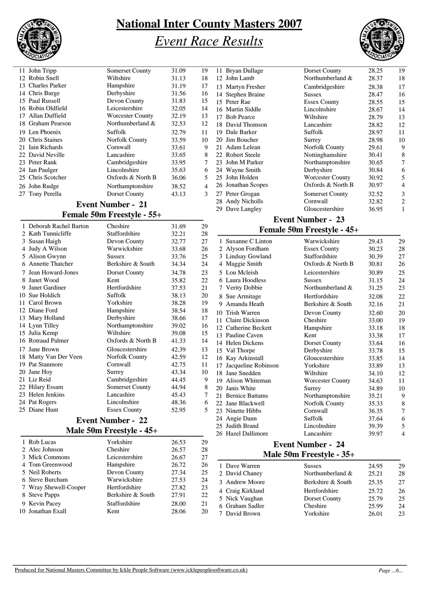

## *Event Race Results*



| 11 John Tripp     | <b>Somerset County</b> | 31.09 | 19             |
|-------------------|------------------------|-------|----------------|
| 12 Robin Snell    | Wiltshire              | 31.13 | 18             |
| 13 Charles Parker | Hampshire              | 31.19 | 17             |
| 14 Chris Burge    | Derbyshire             | 31.56 | 16             |
| 15 Paul Russell   | Devon County           | 31.83 | 15             |
| 16 Robin Oldfield | Leicestershire         | 32.05 | 14             |
| 17 Allan Duffield | Worcester County       | 32.19 | 13             |
| 18 Graham Pearson | Northumberland &       | 32.53 | 12             |
| 19 Len Phoenix    | Suffolk                | 32.79 | 11             |
| 20 Chris Staines  | Norfolk County         | 33.59 | 10             |
| 21 Iain Richards  | Cornwall               | 33.61 | 9              |
| 22 David Neville  | Lancashire             | 33.65 | 8              |
| 23 Peter Rank     | Cambridgeshire         | 33.95 | $\overline{7}$ |
| 24 Ian Paulger    | Lincolnshire           | 35.63 | 6              |
| 25 Chris Scotcher | Oxfords & North B      | 36.06 | 5              |
| 26 John Rudge     | Northamptonshire       | 38.52 | $\overline{4}$ |
| 27 Tony Perella   | Dorset County          | 43.13 | 3              |
|                   |                        |       |                |

#### **Event Number - 21**

### **Female 50m Freestyle - 55+**

| 1              | Deborah Rachel Barton | Cheshire            | 31.69 | 29 |
|----------------|-----------------------|---------------------|-------|----|
| $\mathfrak{D}$ | Kath Tunnicliffe      | Staffordshire       | 32.21 | 28 |
|                | 3 Susan Haigh         | Devon County        | 32.77 | 27 |
| 4              | Judy A Wilson         | Warwickshire        | 33.68 | 26 |
| 5              | Alison Gwynn          | <b>Sussex</b>       | 33.76 | 25 |
|                | 6 Annette Thatcher    | Berkshire & South   | 34.34 | 24 |
| 7              | Jean Howard-Jones     | Dorset County       | 34.78 | 23 |
|                | 8 Janet Wood          | Kent                | 35.82 | 22 |
|                | 9 Janet Gardiner      | Hertfordshire       | 37.53 | 21 |
|                | 10 Sue Holdich        | Suffolk             | 38.13 | 20 |
| 11             | Carol Brown           | Yorkshire           | 38.28 | 19 |
|                | 12 Diane Ford         | Hampshire           | 38.54 | 18 |
|                | 13 Mary Holland       | Derbyshire          | 38.66 | 17 |
|                | 14 Lynn Tilley        | Northamptonshire    | 39.02 | 16 |
|                | 15 Julia Kemp         | Wiltshire           | 39.08 | 15 |
|                | 16 Rotraud Palmer     | Oxfords & North B   | 41.33 | 14 |
|                | 17 Jane Brown         | Gloucestershire     | 42.39 | 13 |
|                | 18 Matty Van Der Veen | Norfolk County      | 42.59 | 12 |
|                | 19 Pat Stanmore       | Cornwall            | 42.75 | 11 |
|                | 20 Jane Hoy           | Surrey              | 43.34 | 10 |
|                | 21 Liz Reid           | Cambridgeshire      | 44.45 | 9  |
|                | 22 Hilary Essam       | Somerset County     | 44.94 | 8  |
|                | 23 Helen Jenkins      | Lancashire          | 45.43 | 7  |
|                | 24 Pat Rogers         | Lincolnshire        | 48.36 | 6  |
|                | 25 Diane Hunt         | <b>Essex County</b> | 52.95 | 5  |
|                |                       |                     |       |    |

### **Event Number - 22**

#### **Male 50m Freestyle - 45+**

| 1 Rob Lucas           | Yorkshire         | 26.53 | 29  |
|-----------------------|-------------------|-------|-----|
| 2 Alec Johnson        | Cheshire          | 26.57 | 28  |
| 3 Mick Commons        | Leicestershire    | 26.67 | 27  |
| 4 Tom Greenwood       | Hampshire         | 26.72 | 26  |
| 5 Neil Roberts        | Devon County      | 27.34 | 25  |
| 6 Steve Burcham       | Warwickshire      | 27.53 | 24  |
| 7 Wray Shewell-Cooper | Hertfordshire     | 27.82 | 23  |
| 8 Steve Papps         | Berkshire & South | 27.91 | 22. |
| 9 Kevin Pacey         | Staffordshire     | 28.00 | 21  |
| 10 Jonathan Exall     | Kent              | 28.06 | 20  |
|                       |                   |       |     |

| 11 Bryan Dullage   | Dorset County           | 28.25 | 19                      |
|--------------------|-------------------------|-------|-------------------------|
| 12 John Lamb       | Northumberland &        | 28.37 | 18                      |
| 13 Martyn Fresher  | Cambridgeshire          | 28.38 | 17                      |
| 14 Stephen Braine  | <b>Sussex</b>           | 28.47 | 16                      |
| 15 Peter Rae       | <b>Essex County</b>     | 28.55 | 15                      |
| 16 Martin Siddle   | Lincolnshire            | 28.67 | 14                      |
| 17 Bob Pearce      | Wiltshire               | 28.79 | 13                      |
| 18 David Thomson   | Lancashire              | 28.82 | 12                      |
| 19 Dale Barker     | Suffolk                 | 28.97 | 11                      |
| 20 Jim Boucher     | Surrey                  | 28.98 | 10                      |
| 21 Adam Lelean     | Norfolk County          | 29.61 | 9                       |
| 22 Robert Steele   | Nottinghamshire         | 30.41 | 8                       |
| 23 John M Parker   | Northamptonshire        | 30.65 | 7                       |
| 24 Wayne Smith     | Derbyshire              | 30.84 | $\epsilon$              |
| 25 John Holden     | <b>Worcester County</b> | 30.92 | 5                       |
| 26 Jonathan Scopes | Oxfords & North B       | 30.97 | $\overline{4}$          |
| 27 Peter Grogan    | Somerset County         | 32.52 | 3                       |
| 28 Andy Nicholls   | Cornwall                | 32.82 | $\overline{\mathbf{c}}$ |
| 29 Dave Langley    | Gloucestershire         | 36.95 | 1                       |
|                    |                         |       |                         |

### **Event Number - 23**

### **Female 50m Freestyle - 45+**

|    | 1 Suxanne C Linton   | Warwickshire            | 29.43 | 29             |
|----|----------------------|-------------------------|-------|----------------|
|    | 2 Alyson Fordham     | <b>Essex County</b>     | 30.23 | 28             |
|    | 3 Lindsay Gowland    | Staffordshire           | 30.39 | 27             |
| 4  | Maggie Smith         | Oxfords & North B       | 30.81 | 26             |
|    | 5 Lou Mcleish        | Leicestershire          | 30.89 | 25             |
| 6  | Laura Hoodless       | <b>Sussex</b>           | 31.15 | 24             |
|    | 7 Verity Dobbie      | Northumberland &        | 31.25 | 23             |
| 8. | Sue Armitage         | Hertfordshire           | 32.08 | 22             |
| 9  | Amanda Heath         | Berkshire & South       | 32.16 | 21             |
| 10 | Trish Warren         | Devon County            | 32.60 | 20             |
| 11 | Claire Dickinson     | Cheshire                | 33.00 | 19             |
|    | 12 Catherine Beckett | Hampshire               | 33.18 | 18             |
|    | 13 Pauline Caven     | Kent                    | 33.38 | 17             |
|    | 14 Helen Dickens     | Dorset County           | 33.64 | 16             |
|    | 15 Val Thorpe        | Derbyshire              | 33.78 | 15             |
| 16 | Kay Arkinstall       | Gloucestershire         | 33.85 | 14             |
| 17 | Jacqueline Robinson  | Yorkshire               | 33.89 | 13             |
| 18 | Jane Snedden         | Wiltshire               | 34.10 | 12             |
|    | 19 Alison Whiteman   | <b>Worcester County</b> | 34.63 | 11             |
|    | 20 Janis White       | Surrey                  | 34.89 | 10             |
|    | 21 Bernice Battams   | Northamptonshire        | 35.21 | 9              |
|    | 22 Jane Blackwell    | Norfolk County          | 35.33 | 8              |
|    | 23 Ninette Hibbs     | Cornwall                | 36.35 | 7              |
|    | 24 Angie Dann        | Suffolk                 | 37.64 | 6              |
|    | 25 Judith Brand      | Lincolnshire            | 39.39 | 5              |
|    | 26 Hazel Dallimore   | Lancashire              | 39.97 | $\overline{4}$ |
|    | T.                   | $\mathbf{A}$            |       |                |

#### **Event Number - 24 Male 50m Freestyle - 35+**

| 1 Dave Warren<br>2 David Chaney | Sussex<br>Northumberland & | 24.95<br>25.21 | 29<br>28 |
|---------------------------------|----------------------------|----------------|----------|
| 3 Andrew Moore                  | Berkshire & South          | 25.35          | 27       |
| 4 Craig Kirkland                | Hertfordshire              | 25.72          | 26       |
| 5 Nick Vaughan                  | Dorset County              | 25.79          | 25       |
| 6 Graham Sadler                 | Cheshire                   | 25.99          | 24       |
| 7 David Brown                   | Yorkshire                  | 26.01          | 23       |
|                                 |                            |                |          |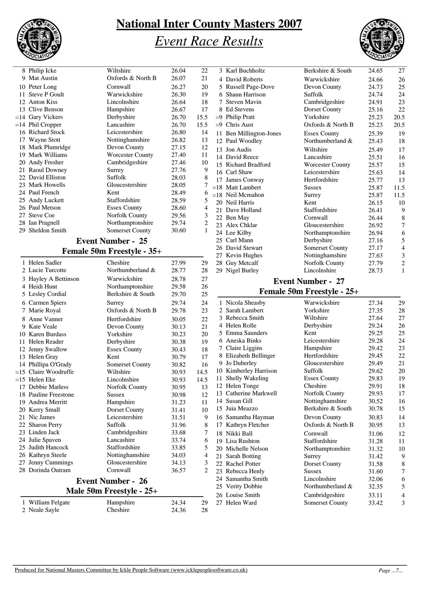

# *Event Race Results*



|    | 8 Philip Icke                        | Wiltshire                    | 26.04          | 22               |    | 3 Karl Buchholtz                      | Berkshire & South                    | 24.65          | 27             |
|----|--------------------------------------|------------------------------|----------------|------------------|----|---------------------------------------|--------------------------------------|----------------|----------------|
|    | 9 Mat Austin                         | Oxfords & North B            | 26.07          | 21               |    | 4 David Roberts                       | Warwickshire                         | 24.66          | 26             |
|    | 10 Peter Long                        | Cornwall                     | 26.27          | 20               |    | 5 Russell Page-Dove                   | Devon County                         | 24.73          | 25             |
|    | 11 Steve P Goult                     | Warwickshire                 | 26.30          | 19               |    | 6 Shaun Harrison                      | Suffolk                              | 24.74          | 24             |
|    | 12 Anton Kiss                        | Lincolnshire                 | 26.64          | 18               | 7  | <b>Steven Mavin</b>                   | Cambridgeshire                       | 24.91          | 23             |
|    | 13 Clive Benson                      | Hampshire                    | 26.67          | 17               |    | 8 Ed Stevens                          | Dorset County                        | 25.16          | 22             |
|    | =14 Gary Vickers                     | Derbyshire                   | 26.70          | 15.5             |    | $=9$ Philip Pratt                     | Yorkshire                            | 25.23          | 20.5           |
|    | $=14$ Phil Cropper                   | Lancashire                   | 26.70          | 15.5             |    | $=9$ Chris Aust                       | Oxfords & North B                    | 25.23          | 20.5           |
|    | 16 Richard Stock                     | Leicestershire               | 26.80          | 14               |    | 11 Ben Millington-Jones               | <b>Essex County</b>                  | 25.39          | 15             |
|    | 17 Wayne Stott                       | Nottinghamshire              | 26.82          | 13               |    | 12 Paul Woodley                       | Northumberland &                     | 25.43          | 18             |
|    | 18 Mark Plumridge                    | Devon County                 | 27.15          | 12               |    | 13 Jon Audis                          | Wiltshire                            | 25.49          | 17             |
|    | 19 Mark Williams                     | <b>Worcester County</b>      | 27.40          | 11               |    | 14 David Reece                        | Lancashire                           | 25.51          | 16             |
|    | 20 Andy Fresher                      | Cambridgeshire               | 27.46<br>27.76 | 10               |    | 15 Richard Bradford                   | <b>Worcester County</b>              | 25.57          | 15             |
|    | 21 Raoul Downey<br>22 David Elliston | Surrey<br>Suffolk            | 28.03          | 9<br>$\,8\,$     |    | 16 Carl Shaw                          | Leicestershire                       | 25.63          | 14             |
|    | 23 Mark Howells                      | Gloucestershire              | 28.05          | $\boldsymbol{7}$ |    | 17 James Conway                       | Hertfordshire                        | 25.77          | 13             |
|    | 24 Paul French                       | Kent                         | 28.49          | 6                |    | $=18$ Matt Lambert                    | <b>Sussex</b>                        | 25.87          | 11.5           |
|    | 25 Andy Luckett                      | Staffordshire                | 28.59          | 5                |    | $=18$ Neil Mcmahon                    | Surrey                               | 25.87          | 11.5           |
|    | 26 Paul Metson                       | <b>Essex County</b>          | 28.60          | 4                |    | 20 Neil Harris                        | Kent<br>Staffordshire                | 26.15          | 10             |
|    | 27 Steve Coe                         | Norfolk County               | 29.56          | $\mathfrak{Z}$   |    | 21 Dave Holland                       | Cornwall                             | 26.41          | ς              |
|    | 28 Ian Pragnell                      | Northamptonshire             | 29.74          | $\overline{c}$   |    | 22 Ben May<br>23 Alex Chklar          | Gloucestershire                      | 26.44<br>26.92 | 7              |
|    | 29 Sheldon Smith                     | Somerset County              | 30.60          | $\mathbf{1}$     |    | 24 Lee Kilby                          | Northamptonshire                     | 26.94          | $\epsilon$     |
|    |                                      | <b>Event Number - 25</b>     |                |                  |    | 25 Carl Mann                          | Derbyshire                           | 27.16          |                |
|    |                                      |                              |                |                  |    | 26 David Stewart                      | Somerset County                      | 27.17          | 4              |
|    |                                      | Female 50m Freestyle - 35+   |                |                  |    | 27 Kevin Hughes                       | Nottinghamshire                      | 27.63          | 3              |
|    | 1 Helen Sadler                       | Cheshire                     | 27.99          | 29               |    | 28 Guy Metcalf                        | <b>Norfolk County</b>                | 27.79          | 2              |
|    | 2 Lucie Turcotte                     | Northumberland &             | 28.77          | 28               |    | 29 Nigel Burley                       | Lincolnshire                         | 28.73          | $\mathbf{1}$   |
|    | 3 Hayley A Bettinson                 | Warwickshire                 | 28.78          | 27               |    |                                       | <b>Event Number - 27</b>             |                |                |
|    |                                      |                              |                |                  |    |                                       |                                      |                |                |
|    | 4 Heidi Hunt                         | Northamptonshire             | 29.58          | 26               |    |                                       |                                      |                |                |
|    | 5 Lesley Cordial                     | Berkshire & South            | 29.70          | 25               |    |                                       | Female 50m Freestyle - 25+           |                |                |
|    | 6 Carmen Spiers                      | Surrey                       | 29.74          | 24               |    | 1 Nicola Sheasby                      | Warwickshire                         | 27.34          | 2 <sub>5</sub> |
|    | 7 Marie Royal                        | Oxfords & North B            | 29.78          | 23               |    | 2 Sarah Lambert                       | Yorkshire                            | 27.35          | 28             |
|    | 8 Anne Vanner                        | Hertfordshire                | 30.05          | 22               | 3  | Rebecca Smith                         | Wiltshire                            | 27.64          | 27             |
|    | 9 Kate Veale                         | Devon County                 | 30.13          | 21               |    | 4 Helen Rolle                         | Derbyshire                           | 29.24          | 26             |
|    | 10 Karen Burdass                     | Yorkshire                    | 30.23          | 20               |    | 5 Emma Saunders                       | Kent                                 | 29.25          | 25             |
|    | 11 Helen Reader                      | Derbyshire                   | 30.38          | 19               |    | 6 Aneska Binks                        | Leicestershire                       | 29.28          | 24             |
|    | 12 Jenny Swallow                     | <b>Essex County</b>          | 30.43          | 18               |    | 7 Claire Liggins                      | Hampshire                            | 29.42          | 23             |
|    | 13 Helen Gray                        | Kent                         | 30.79          | 17               |    | 8 Elizabeth Bellinger                 | Hertfordshire                        | 29.45          | 22             |
|    | 14 Phillipa O'Grady                  | Somerset County              | 30.82          | 16               | 9  | Jo Duberley                           | Gloucestershire                      | 29.49          | 21             |
|    | =15 Claire Woodruffe                 | Wiltshire                    | 30.93          | 14.5             |    | 10 Kimberley Harrison                 | Suffolk                              | 29.62          | 20             |
|    | $=15$ Helen Eke                      | Lincolnshire                 | 30.93          | 14.5             |    | 11 Shelly Wakeling                    | <b>Essex County</b>                  | 29.83          | 19             |
|    | 17 Debbie Matless                    | Norfolk County               | 30.95          | 13               |    | 12 Helen Tonge                        | Cheshire                             | 29.91          | 18             |
|    | 18 Pauline Freestone                 | <b>Sussex</b>                | 30.98          | 12               |    | 13 Catherine Markwell                 | Norfolk County                       | 29.93          | 17             |
|    | 19 Andrea Merritt                    | Hampshire                    | 31.23          | 11               | 14 | Susan Gill<br>15 Juia Meazzo          | Nottinghamshire<br>Berkshire & South | 30.52          | 16             |
|    | 20 Kerry Small                       | Dorset County                | 31.41          | 10               |    |                                       |                                      | 30.78          | 15             |
|    | 21 Nic James                         | Leicestershire               | 31.51          | 9                |    | 16 Samantha Hayman                    | Devon County                         | 30.83          | 14             |
|    | 22 Sharon Perry<br>23 Linden Jack    | Suffolk                      | 31.96          | 8                |    | 17 Kathryn Fletcher                   | Oxfords & North B                    | 30.95          | 13             |
|    |                                      | Cambridgeshire<br>Lancashire | 33.68          | 7                |    | 18 Nikki Ball                         | Cornwall                             | 31.06          | 12             |
|    | 24 Julie Spaven<br>25 Judith Hancock | Staffordshire                | 33.74<br>33.85 | 6<br>5           |    | 19 Lisa Rushton<br>20 Michelle Nelson | Staffordshire                        | 31.28          | 11             |
|    | 26 Kathryn Steele                    | Nottinghamshire              | 34.03          | 4                |    |                                       | Northamptonshire                     | 31.32          | 10             |
| 27 | Jenny Cummings                       | Gloucestershire              | 34.13          | 3                |    | 21 Sarah Botting<br>22 Rachel Potter  | Surrey<br>Dorset County              | 31.42<br>31.58 | ς<br>Ş         |
|    | 28 Dorinda Outram                    | Cornwall                     | 36.57          | 2                |    | 23 Rebecca Henly                      | Sussex                               | 31.60          | 7              |
|    |                                      |                              |                |                  | 24 | Samantha Smith                        | Lincolnshire                         | 32.06          | $\epsilon$     |
|    |                                      | <b>Event Number - 26</b>     |                |                  |    | 25 Verity Dobbie                      | Northumberland &                     | 32.35          | 5              |
|    |                                      | Male 50m Freestyle - 25+     |                |                  |    | 26 Louise Smith                       | Cambridgeshire                       | 33.11          | 4              |
|    | 1 William Felgate<br>2 Neale Sayle   | Hampshire<br>Cheshire        | 24.34          | 29               |    | 27 Helen Ward                         | Somerset County                      | 33.42          | 3              |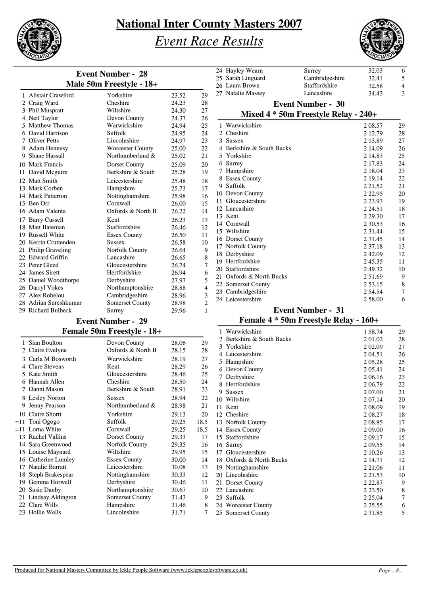

### *Event Race Results*



| <b>Event Number - 28</b> |                          |       |                |  |
|--------------------------|--------------------------|-------|----------------|--|
|                          | Male 50m Freestyle - 18+ |       |                |  |
| 1 Alistair Crawford      | Yorkshire                | 23.52 | 29             |  |
| 2 Craig Ward             | Cheshire                 | 24.23 | 28             |  |
| 3 Phil Muspratt          | Wiltshire                | 24.30 | 27             |  |
| 4 Neil Taylor            | Devon County             | 24.37 | 26             |  |
| 5 Matthew Thomas         | Warwickshire             | 24.94 | 25             |  |
| 6 David Harrison         | Suffolk                  | 24.95 | 24             |  |
| 7 Oliver Petts           | Lincolnshire             | 24.97 | 23             |  |
| 8 Adam Hennesy           | <b>Worcester County</b>  | 25.00 | 22             |  |
| 9 Shane Hassall          | Northumberland &         | 25.02 | 21             |  |
| 10 Mark Francis          | Dorset County            | 25.09 | 20             |  |
| 11 David Meguire         | Berkshire & South        | 25.28 | 19             |  |
| 12 Matt Smith            | Leicestershire           | 25.48 | 18             |  |
| 13 Mark Corben           | Hampshire                | 25.73 | 17             |  |
| 14 Mark Patterton        | Nottinghamshire          | 25.98 | 16             |  |
| 15 Ben Orr               | Cornwall                 | 26.00 | 15             |  |
| 16 Adam Valenta          | Oxfords & North B        | 26.22 | 14             |  |
| 17 Barry Cussell         | Kent                     | 26.23 | 13             |  |
| 18 Matt Bateman          | Staffordshire            | 26.46 | 12             |  |
| 19 Russell White         | <b>Essex County</b>      | 26.50 | 11             |  |
| 20 Kerrin Cruttenden     | <b>Sussex</b>            | 26.58 | 10             |  |
| 21 Philip Graveling      | Norfolk County           | 26.64 | 9              |  |
| 22 Edward Griffin        | Lancashire               | 26.65 | 8              |  |
| 23 Peter Gleed           | Gloucestershire          | 26.74 | 7              |  |
| 24 James Sirett          | Hertfordshire            | 26.94 | 6              |  |
| 25 Daniel Woodthorpe     | Derbyshire               | 27.97 | 5              |  |
| 26 Darryl Vokes          | Northamptonshire         | 28.88 | $\overline{4}$ |  |
| 27 Alex Robelou          | Cambridgeshire           | 28.96 | 3              |  |
| 28 Adrian Sureshkumar    | <b>Somerset County</b>   | 28.98 | $\overline{c}$ |  |
| 29 Richard Bulbeck       | Surrey                   | 29.96 | 1              |  |

### **Event Number - 29 Female 50m Freestyle - 18+**

|   | 1 Sian Boulton       | Devon County           | 28.06 | 29   |                         |
|---|----------------------|------------------------|-------|------|-------------------------|
|   | 2 Claire Evelyne     | Oxfords & North B      | 28.15 | 28   |                         |
|   | 3 Carla M Bosworth   | Warwickshire           | 28.19 | 27   |                         |
|   | 4 Clare Stevens      | Kent                   | 28.29 | 26   |                         |
|   | 5 Kate Smith         | Gloucestershire        | 28.46 | 25   |                         |
|   | 6 Hannah Allen       | Cheshire               | 28.50 | 24   |                         |
|   | 7 Danni Mason        | Berkshire & South      | 28.91 | 23   |                         |
|   | 8 Lesley Norton      | Sussex                 | 28.94 | 22   | 1                       |
| 9 | Jenny Pearson        | Northumberland &       | 28.98 | 21   | 1                       |
|   | 10 Claire Shortt     | Yorkshire              | 29.13 | 20   | 1                       |
|   | $=11$ Toni Ogogo     | Suffolk                | 29.25 | 18.5 | 1                       |
|   | $=11$ Lorna White    | Cornwall               | 29.25 | 18.5 | 1                       |
|   | 13 Rachel Vallins    | Dorset County          | 29.33 | 17   | 1                       |
|   | 14 Sara Greenwood    | Norfolk County         | 29.35 | 16   | 1                       |
|   | 15 Louise Maynard    | Wiltshire              | 29.95 | 15   | 1                       |
|   | 16 Catherine Lumley  | <b>Essex County</b>    | 30.00 | 14   | 1                       |
|   | 17 Natalie Barratt   | Leicestershire         | 30.08 | 13   | 1                       |
|   | 18 Steph Brakespear  | Nottinghamshire        | 30.33 | 12   | $\overline{\mathbf{c}}$ |
|   | 19 Gemma Horwell     | Derbyshire             | 30.46 | 11   | $\overline{2}$          |
|   | 20 Susie Danby       | Northamptonshire       | 30.67 | 10   | $\overline{\mathbf{c}}$ |
|   | 21 Lindsay Aldington | <b>Somerset County</b> | 31.43 | 9    | $\overline{a}$          |
|   | 22 Clare Wills       | Hampshire              | 31.46 | 8    | $\overline{a}$          |
|   | 23 Hollie Wells      | Lincolnshire           | 31.71 | 7    | $\overline{2}$          |

|    | 24 Hayley Wearn           | Surrey                                   | 32.03       | 6              |
|----|---------------------------|------------------------------------------|-------------|----------------|
|    | 25 Sarah Linguard         | Cambridgeshire                           | 32.41       | 5              |
|    | 26 Laura Brown            | Staffordshire                            | 32.58       | $\overline{4}$ |
|    | 27 Natalie Massey         | Lancashire                               | 34.43       | 3              |
|    |                           | <b>Event Number - 30</b>                 |             |                |
|    |                           | Mixed $4 * 50m$ Freestyle Relay - $240+$ |             |                |
| 1  | Warwickshire              |                                          | 2 08.57     | 29             |
|    | 2 Cheshire                |                                          | 2 12.79     | 28             |
|    | 3 Sussex                  |                                          | 2 13.89     | 27             |
|    | 4 Berkshire & South Bucks |                                          | 2 14.09     | 26             |
|    | 5 Yorkshire               |                                          | 2 14.83     | 25             |
| 6  | Surrey                    |                                          | 2 17.83     | 24             |
|    | 7 Hampshire               |                                          | 2 18.04     | 23             |
|    | 8 Essex County            |                                          | 2 19.14     | 22             |
|    | 9 Suffolk                 |                                          | 2 2 1 .5 2  | 21             |
|    | 10 Devon County           |                                          | 2 2 2 . 9 5 | 20             |
|    | 11 Gloucestershire        |                                          | 2 2 3 . 9 3 | 19             |
| 12 | Lancashire                |                                          | 2 2 4 . 5 1 | 18             |
|    | 13 Kent                   |                                          | 2 2 9 . 3 0 | 17             |
|    | 14 Cornwall               |                                          | 2 3 0.53    | 16             |
|    | 15 Wiltshire              |                                          | 2 3 1 . 4 4 | 15             |
|    | 16 Dorset County          |                                          | 2 3 1 . 4 5 | 14             |
|    | 17 Norfolk County         |                                          | 2 3 7 . 18  | 13             |
|    | 18 Derbyshire             |                                          | 242.09      | 12             |
|    | 19 Hertfordshire          |                                          | 245.35      | 11             |
|    | 20 Staffordshire          |                                          | 249.32      | 10             |
|    | 21 Oxfords & North Bucks  |                                          | 2 51.69     | 9              |
|    | 22 Somerset County        |                                          | 2 53.15     | 8              |
|    | 23 Cambridgeshire         |                                          | 2 54.54     | 7              |
|    | 24 Leicestershire         |                                          | 258.00      | 6              |
|    | $\blacksquare$            | $\mathbf{1}$<br>$\sim$                   |             |                |

#### **Event Number - 31 Female 4 \* 50m Freestyle Relay - 160+**

|       |      | 1 Warwickshire           | 1 58.74     | 29 |
|-------|------|--------------------------|-------------|----|
| 28.06 | 29   | Berkshire & South Bucks  | 2 01.02     | 28 |
| 28.15 | 28   | Yorkshire<br>3           | 2 02.09     | 27 |
|       |      | 4 Leicestershire         | 2 04.51     | 26 |
| 28.19 | 27   | Hampshire<br>5           | 2 05.28     | 25 |
| 28.29 | 26   | Devon County<br>6        | 2 0 5.41    | 24 |
| 28.46 | 25   | Derbyshire<br>7          | 2 06.16     | 23 |
| 28.50 | 24   | 8 Hertfordshire          | 2 06.79     | 22 |
| 28.91 | 23   | <b>Sussex</b><br>9       | 2 07.00     | 21 |
| 28.94 | 22   | 10 Wiltshire             | 2 07.14     | 20 |
| 28.98 | 21   | 11 Kent                  | 2 08.09     | 19 |
| 29.13 | 20   | 12 Cheshire              | 2 08.27     | 18 |
| 29.25 | 18.5 | 13 Norfolk County        | 2 08.85     | 17 |
| 29.25 | 18.5 | 14 Essex County          | 2 09.00     | 16 |
| 29.33 | 17   | 15 Staffordshire         | 2 09.17     | 15 |
| 29.35 | 16   | Surrey<br>16             | 2 09.55     | 14 |
| 29.95 | 15   | Gloucestershire<br>17    | 2 10.26     | 13 |
| 30.00 | 14   | 18 Oxfords & North Bucks | 2 14.71     | 12 |
| 30.08 | 13   | 19 Nottinghamshire       | 2 2 1 .06   | 11 |
| 30.33 | 12   | 20 Lincolnshire          | 2 2 1.53    | 10 |
| 30.46 | 11   | 21 Dorset County         | 2 2 2 .87   | 9  |
| 30.67 | 10   | 22 Lancashire            | 2 2 3 .50   | 8  |
| 31.43 | 9    | Suffolk<br>23            | 2 2 5 .04   | 7  |
| 31.46 | 8    | 24 Worcester County      | 2 2 5 . 5 5 | 6  |
| 31.71 | 7    | 25 Somerset County       | 2 3 1 . 8 5 | 5  |
|       |      |                          |             |    |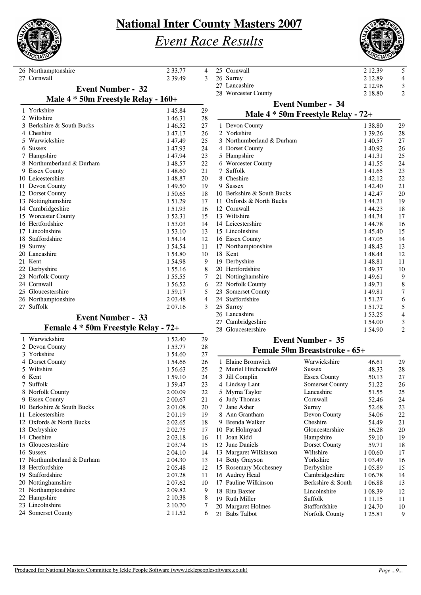

# *Event Race Results*



26 Northamptonshire 2 33.77 4<br>27 Cornwall 2 39.49 3 27 Cornwall 1 Yorkshire 145.84 29<br>2 Wiltshire 146.31 28 **Event Number - 32 Male 4 \* 50m Freestyle Relay - 160+** 1 46.31 28<br>1 46.52 27 3 Berkshire & South Bucks 1 46.52 27<br>4 Cheshire 1 47.17 26 4 Cheshire 5 Warwickshire 1 47.49 25 6 Sussex 1 47.93 24<br>
7 Hampshire 1 47.94 23 7 Hampshire 147.94 23<br>8 Northumberland & Durham 148.57 22 8 Northumberland & Durham 9 Essex County 1 48.60 21 10 Leicestershire 1 48.87 20 11 Devon County 149.50 19<br>12 Dorset County 150.65 18 12 Dorset County 1 50.65 18<br>13 Nottinghamshire 1 51.29 17 13 Nottinghamshire 14 Cambridgeshire 1 51.93 16<br>15 Worcester County 1 52.31 15 15 Worcester County 16 Hertfordshire 1 53.03 14 17 Lincolnshire 1 53.10 13<br>18 Staffordshire 1 54.14 12 18 Staffordshire 1 54.14 12<br>19 Surrey 1 54.54 11 19 Surrey 1 54.54 11<br>
20 Lancashire 1 54.80 10 20 Lancashire<br>21 Kent 21 Kent 1 54.98 9 22 Derbyshire 1 55.16 8<br>23 Norfolk County 1 55.55 7 23 Norfolk County 1 55.55 7<br>24 Cornwall 1 56.52 6 24 Cornwall 1 56.52 6<br>25 Gloucestershire 1 59.17 5 25 Gloucestershire 26 Northamptonshire 2 03.48 53745<br>27 Suffolk 2 07.16 53 27 Suffolk

### **Event Number - 33**

|   |                            | ັ | ັ         |    |
|---|----------------------------|---|-----------|----|
|   | 1 Warwickshire             |   | 1 52.40   | 29 |
| 2 | Devon County               |   | 1 53.77   | 28 |
|   | 3 Yorkshire                |   | 1 54.60   | 27 |
| 4 | Dorset County              |   | 1.54.66   | 26 |
|   | 5 Wiltshire                |   | 1 56.63   | 25 |
| 6 | Kent                       |   | 1 59.10   | 24 |
| 7 | Suffolk                    |   | 1 59.47   | 23 |
|   | 8 Norfolk County           |   | 2 00.09   | 22 |
|   | 9 Essex County             |   | 2 00.67   | 21 |
|   | 10 Berkshire & South Bucks |   | 201.08    | 20 |
|   | 11 Leicestershire          |   | 2 01.19   | 19 |
|   | 12 Oxfords & North Bucks   |   | 2 0 2 .65 | 18 |
|   | 13 Derbyshire              |   | 2 0 2.75  | 17 |
|   | 14 Cheshire                |   | 2 03.18   | 16 |
|   | 15 Gloucestershire         |   | 2 03.74   | 15 |
|   | 16 Sussex                  |   | 2 04.10   | 14 |
|   | 17 Northumberland & Durham |   | 2 04.30   | 13 |
|   | 18 Hertfordshire           |   | 2 05.48   | 12 |
|   | 19 Staffordshire           |   | 2 07.28   | 11 |
|   | 20 Nottinghamshire         |   | 2 07.62   | 10 |
|   | 21 Northamptonshire        |   | 2 09.82   | 9  |
|   | 22 Hampshire               |   | 2 10.38   | 8  |
|   | 23 Lincolnshire            |   | 2 10.70   | 7  |
|   | 24 Somerset County         |   | 2 11.52   | 6  |
|   |                            |   |           |    |

|    | 25 Cornwall                        | 2 12.39 | 5              |
|----|------------------------------------|---------|----------------|
|    | 26 Surrey                          | 2 12.89 | $\overline{4}$ |
|    | 27 Lancashire                      | 2 12.96 | 3              |
|    | 28 Worcester County                | 2 18.80 | $\overline{2}$ |
|    | <b>Event Number - 34</b>           |         |                |
|    | Male 4 * 50m Freestyle Relay - 72+ |         |                |
|    | 1 Devon County                     | 1 38.80 | 29             |
|    | 2 Yorkshire                        | 1 39.26 | 28             |
|    | 3 Northumberland & Durham          | 140.57  | 27             |
|    | 4 Dorset County                    | 1 40.92 | 26             |
|    | 5 Hampshire                        | 141.31  | 25             |
|    | 6 Worcester County                 | 141.55  | 24             |
| 7  | Suffolk                            | 141.65  | 23             |
|    | 8 Cheshire                         | 142.12  | 22             |
| 9  | Sussex                             | 142.40  | 21             |
|    | 10 Berkshire & South Bucks         | 142.47  | 20             |
| 11 | Oxfords & North Bucks              | 1 44.21 | 19             |
|    | 12 Cornwall                        | 144.23  | 18             |
|    | 13 Wiltshire                       | 144.74  | 17             |
|    | 14 Leicestershire                  | 144.78  | 16             |
|    | 15 Lincolnshire                    | 1 45.40 | 15             |
|    | 16 Essex County                    | 147.05  | 14             |
|    | 17 Northamptonshire                | 148.43  | 13             |
|    | 18 Kent                            | 148.44  | 12             |
|    | 19 Derbyshire                      | 148.81  | 11             |
|    | 20 Hertfordshire                   | 149.37  | 10             |
|    | 21 Nottinghamshire                 | 149.61  | 9              |
|    | 22 Norfolk County                  | 149.71  | 8              |
|    | 23 Somerset County                 | 149.81  | 7              |
|    | 24 Staffordshire                   | 151.27  | 6              |
|    | 25 Surrey                          | 151.72  | 5              |
|    | 26 Lancashire                      | 1 53.25 | 4              |
| 27 | Cambridgeshire                     | 1 54.00 | 3              |
|    | 28 Gloucestershire                 | 154.90  | $\overline{c}$ |

#### **Event Number - 35 Female 50m Breaststroke - 65+**

|     | 1 Elaine Bromwich      | Warwickshire           | 46.61       | 29 |
|-----|------------------------|------------------------|-------------|----|
|     | 2 Muriel Hitchcock69   | <b>Sussex</b>          | 48.33       | 28 |
| 3   | Jill Complin           | <b>Essex County</b>    | 50.13       | 27 |
| 4   | Lindsay Lant           | <b>Somerset County</b> | 51.22       | 26 |
| 5   | Myrna Taylor           | Lancashire             | 51.55       | 25 |
| 6   | <b>Judy Thomas</b>     | Cornwall               | 52.46       | 24 |
| 7   | Jane Asher             | Surrey                 | 52.68       | 23 |
| 8   | Ann Grantham           | Devon County           | 54.06       | 22 |
| 9   | <b>Brenda Walker</b>   | Cheshire               | 54.49       | 21 |
|     | 10 Pat Holmyard        | Gloucestershire        | 56.28       | 20 |
| 11  | Joan Kidd              | Hampshire              | 59.10       | 19 |
|     | 12 June Daniels        | Dorset County          | 59.71       | 18 |
|     | 13 Margaret Wilkinson  | Wiltshire              | 1 00.60     | 17 |
| 14  | <b>Betty Grayson</b>   | Yorkshire              | 1 0 3.49    | 16 |
|     | 15 Rosemary Mcchesney  | Derbyshire             | 1 05.89     | 15 |
|     | 16 Audrey Head         | Cambridgeshire         | 1 06.78     | 14 |
|     | 17 Pauline Wilkinson   | Berkshire & South      | 1 06.88     | 13 |
|     | 18 Rita Baxter         | Lincolnshire           | 1 08.39     | 12 |
| 19  | <b>Ruth Miller</b>     | Suffolk                | 1 1 1 1 1 5 | 11 |
| 20  | <b>Margaret Holmes</b> | Staffordshire          | 1 24.70     | 10 |
| 21. | <b>Babs</b> Talbot     | Norfolk County         | 1 25.81     | 9  |
|     |                        |                        |             |    |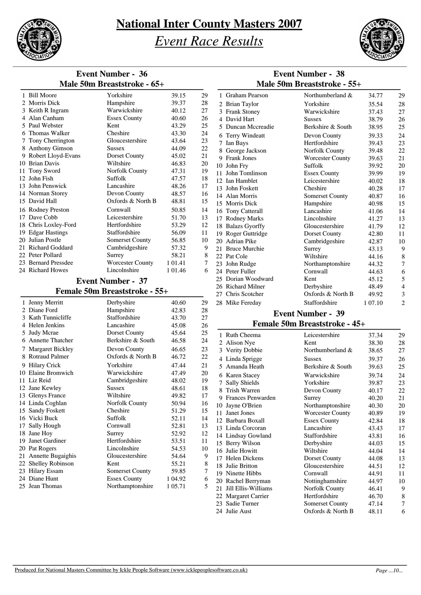

*Event Race Results*



|                                   | <b>Event Number - 36</b>                |                    |          |                             |                                     | <b>Event Number - 38</b>           |                |                     |
|-----------------------------------|-----------------------------------------|--------------------|----------|-----------------------------|-------------------------------------|------------------------------------|----------------|---------------------|
|                                   | Male 50m Breaststroke - 65+             |                    |          | Male 50m Breaststroke - 55+ |                                     |                                    |                |                     |
| 1 Bill Moore                      | Yorkshire                               | 39.15              | 29       |                             | 1 Graham Pearson                    | Northumberland &                   | 34.77          | 29                  |
| 2 Morris Dick                     | Hampshire                               | 39.37              | 28       |                             | 2 Brian Taylor                      | Yorkshire                          | 35.54          | 28                  |
| 3 Keith R Ingram                  | Warwickshire                            | 40.12              | 27       |                             | 3 Frank Stoney                      | Warwickshire                       | 37.43          | 27                  |
| 4 Alan Canham                     | <b>Essex County</b>                     | 40.60              | 26       |                             | 4 David Hart                        | <b>Sussex</b>                      | 38.79          | 26                  |
| 5 Paul Webster<br>6 Thomas Walker | Kent<br>Cheshire                        | 43.29<br>43.30     | 25<br>24 |                             | 5 Duncan Mccreadie                  | Berkshire & South                  | 38.95          | 25                  |
| 7 Tony Cherrington                | Gloucestershire                         | 43.64              | 23       |                             | 6 Terry Windeatt                    | Devon County                       | 39.33          | 24                  |
| 8 Anthony Gimson                  | Sussex                                  | 44.09              | 22       |                             | 7 Ian Bays                          | Hertfordshire                      | 39.43          | 23                  |
| 9 Robert Lloyd-Evans              | Dorset County                           | 45.02              | 21       |                             | 8 George Jackson                    | <b>Norfolk County</b>              | 39.48          | 22                  |
| 10 Brian Davis                    | Wiltshire                               | 46.83              | 20       |                             | 9 Frank Jones                       | <b>Worcester County</b><br>Suffolk | 39.63<br>39.92 | 21                  |
| 11 Tony Sword                     | <b>Norfolk County</b>                   | 47.31              | 19       |                             | 10 John Fry<br>11 John Tomlinson    | <b>Essex County</b>                | 39.99          | 20<br>19            |
| 12 John Fish                      | Suffolk                                 | 47.57              | 18       |                             | 12 Ian Hamblet                      | Leicestershire                     | 40.02          | 18                  |
| 13 John Penswick                  | Lancashire                              | 48.26              | 17       |                             | 13 John Foskett                     | Cheshire                           | 40.28          | 17                  |
| 14 Norman Storey                  | Devon County                            | 48.57              | 16       |                             | 14 Alan Morris                      | <b>Somerset County</b>             | 40.87          | 16                  |
| 15 David Hall                     | Oxfords & North B                       | 48.81              | 15       |                             | 15 Morris Dick                      | Hampshire                          | 40.98          | 15                  |
| 16 Rodney Preston                 | Cornwall                                | 50.85              | 14       |                             | 16 Tony Catterall                   | Lancashire                         | 41.06          | 14                  |
| 17 Dave Cobb                      | Leicestershire                          | 51.70              | 13       |                             | 17 Rodney Marks                     | Lincolnshire                       | 41.27          | 13                  |
| 18 Chris Loxley-Ford              | Hertfordshire                           | 53.29              | 12       |                             | 18 Balazs Gyorffy                   | Gloucestershire                    | 41.79          | 12                  |
| 19 Edgar Hastings                 | Staffordshire                           | 56.09              | 11       |                             | 19 Roger Guttridge                  | Dorset County                      | 42.80          | 11                  |
| 20 Julian Postle                  | <b>Somerset County</b>                  | 56.85              | 10       |                             | 20 Adrian Pike                      | Cambridgeshire                     | 42.87          | 10                  |
| 21 Richard Goddard                | Cambridgeshire                          | 57.32              | 9        |                             | 21 Bruce Murchie                    | Surrey                             | 43.13          | 9                   |
| 22 Peter Pollard                  | Surrey                                  | 58.21              | 8        |                             | 22 Pat Cole                         | Wiltshire                          | 44.16          | 8                   |
| 23 Bernard Pressdee               | <b>Worcester County</b>                 | 1 0 1.41           | 7        |                             | 23 John Rudge                       | Northamptonshire                   | 44.32          | 7                   |
| 24 Richard Howes                  | Lincolnshire                            | 1 01.46            | 6        |                             | 24 Peter Fuller                     | Cornwall                           | 44.63          | 6                   |
|                                   | <b>Event Number - 37</b>                |                    |          |                             | 25 Dorian Woodward                  | Kent                               | 45.12          | 5                   |
|                                   | Female 50m Breaststroke - 55+           |                    |          | 27                          | 26 Richard Milner<br>Chris Scotcher | Derbyshire<br>Oxfords & North B    | 48.49          | 4                   |
| 1 Jenny Merritt                   | Derbyshire                              | 40.60              |          |                             |                                     | Staffordshire                      | 49.92          | 3<br>$\overline{2}$ |
| 2 Diane Ford                      | Hampshire                               | 42.83              | 29<br>28 |                             | 28 Mike Fereday                     |                                    | 1 07.10        |                     |
| 3 Kath Tunnicliffe                | Staffordshire                           | 43.70              | 27       |                             |                                     | <b>Event Number - 39</b>           |                |                     |
| 4 Helen Jenkins                   | Lancashire                              | 45.08              | 26       |                             |                                     | Female 50m Breaststroke - 45+      |                |                     |
| 5 Judy Mcrae                      | Dorset County                           | 45.64              | 25       |                             |                                     |                                    |                |                     |
| 6 Annette Thatcher                | Berkshire & South                       | 46.58              | 24       |                             | 1 Ruth Cheema<br>2 Alison Nye       | Leicestershire<br>Kent             | 37.34<br>38.30 | 29                  |
| 7 Margaret Bickley                | Devon County                            | 46.65              | 23       |                             | 3 Verity Dobbie                     | Northumberland &                   | 38.65          | 28<br>27            |
| 8 Rotraud Palmer                  | Oxfords & North B                       | 46.72              | 22       |                             | 4 Linda Sprigge                     |                                    | 39.37          |                     |
| 9 Hilary Crick                    | Yorkshire                               | 47.44              | 21       |                             | 5 Amanda Heath                      | <b>Sussex</b><br>Berkshire & South | 39.63          | 26<br>25            |
| 10 Elaine Bromwich                | Warwickshire                            | 47.49              | 20       |                             |                                     |                                    |                |                     |
| 11 Liz Reid                       | Cambridgeshire                          | 48.02              | 19       |                             | 6 Karen Stacey<br>7 Sally Shields   | Warwickshire<br>Yorkshire          | 39.74<br>39.87 | 24<br>23            |
| 12 Jane Kewley                    | Sussex                                  | 48.61              | 18       |                             | 8 Trish Warren                      | Devon County                       | 40.17          | 22                  |
| 13 Glenys France                  | Wiltshire                               | 49.82              | 17       |                             | 9 Frances Penwarden                 | Surrey                             | 40.20          | 21                  |
| 14 Linda Coghlan                  | Norfolk County                          | 50.94              | 16       |                             | 10 Jayne O'Brien                    | Northamptonshire                   | 40.30          | 20                  |
| 15 Sandy Foskett                  | Cheshire                                | 51.29              | 15       |                             | 11 Janet Jones                      | <b>Worcester County</b>            | 40.89          | 19                  |
| 16 Vicki Buck                     | Suffolk                                 | 52.11              | 14       |                             | 12 Barbara Boxall                   | <b>Essex County</b>                | 42.84          | 18                  |
| 17 Sally Hough                    | Cornwall                                | 52.81              | 13       |                             | 13 Linda Corcoran                   | Lancashire                         | 43.43          | 17                  |
| 18 Jane Hoy                       | Surrey                                  | 52.92              | 12       |                             | 14 Lindsay Gowland                  | Staffordshire                      | 43.81          | 16                  |
| 19 Janet Gardiner                 | Hertfordshire                           | 53.51              | 11       |                             | 15 Berry Wilson                     | Derbyshire                         | 44.03          | 15                  |
| 20 Pat Rogers                     | Lincolnshire                            | 54.53              | 10       |                             | 16 Julie Howitt                     | Wiltshire                          | 44.04          | 14                  |
| 21 Annette Bugaighis              | Gloucestershire                         | 54.64              | 9        |                             | 17 Helen Dickens                    | Dorset County                      | 44.08          | 13                  |
| 22 Shelley Robinson               | Kent                                    | 55.21              | 8        |                             | 18 Julie Britton                    | Gloucestershire                    | 44.51          | 12                  |
| 23 Hilary Essam<br>24 Diane Hunt  | Somerset County                         | 59.85              | 7        |                             | 19 Ninette Hibbs                    | Cornwall                           | 44.91          | 11                  |
| 25 Jean Thomas                    | <b>Essex County</b><br>Northamptonshire | 1 04.92<br>1 05.71 | 6<br>5   |                             | 20 Rachel Berryman                  | Nottinghamshire                    | 44.97          | 10                  |
|                                   |                                         |                    |          |                             | 21 Jill Ellis-Williams              | Norfolk County                     | 46.41          | 9                   |
|                                   |                                         |                    |          |                             | 22 Margaret Carrier                 | Hertfordshire                      | 46.70          | 8                   |
|                                   |                                         |                    |          |                             | 23 Sadie Turner                     | Somerset County                    | 47.14          | 7                   |
|                                   |                                         |                    |          |                             | 24 Julie Aust                       | Oxfords & North B                  | 48.11          | 6                   |
|                                   |                                         |                    |          |                             |                                     |                                    |                |                     |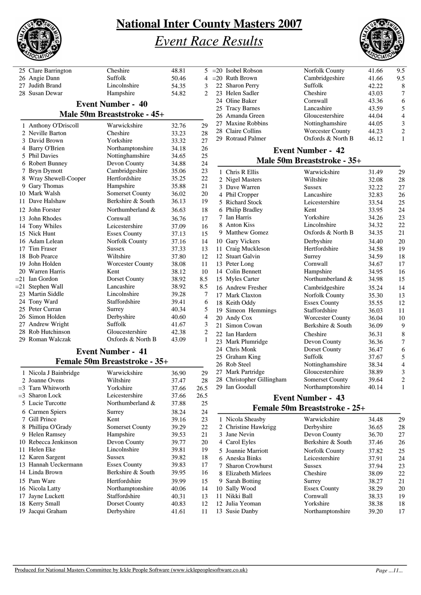

# *Event Race Results*



| 25 Clare Barrington         | Cheshire                 | 48.81 | 5<br>$\bar{z}$                   |  |  |  |  |  |  |  |  |  |
|-----------------------------|--------------------------|-------|----------------------------------|--|--|--|--|--|--|--|--|--|
| 26 Angie Dann               | Suffolk                  | 50.46 | $\overline{a}$<br>$\overline{4}$ |  |  |  |  |  |  |  |  |  |
| 27 Judith Brand             | Lincolnshire             | 54.35 | 3                                |  |  |  |  |  |  |  |  |  |
| 28 Susan Dewar              | Hampshire                | 54.82 | $\overline{c}$                   |  |  |  |  |  |  |  |  |  |
|                             | <b>Event Number - 40</b> |       |                                  |  |  |  |  |  |  |  |  |  |
| Male 50m Breaststroke - 45+ |                          |       |                                  |  |  |  |  |  |  |  |  |  |
| 1 Anthony O'Driscoll        | Warwickshire             | 32.76 | 29                               |  |  |  |  |  |  |  |  |  |
| 2 Neville Barton            | Cheshire                 | 33.23 | 28                               |  |  |  |  |  |  |  |  |  |
| 3 David Brown               | Yorkshire                | 33.32 | 27                               |  |  |  |  |  |  |  |  |  |
| 4 Barry O'Brien             | Northamptonshire         | 34.18 | 26                               |  |  |  |  |  |  |  |  |  |
| 5 Phil Davies               | Nottinghamshire          | 34.65 | 25                               |  |  |  |  |  |  |  |  |  |
| 6 Robert Bunney             | Devon County             | 34.88 | 24                               |  |  |  |  |  |  |  |  |  |
| 7 Bryn Dymott               | Cambridgeshire           | 35.06 | 23                               |  |  |  |  |  |  |  |  |  |
| 8 Wray Shewell-Cooper       | Hertfordshire            | 35.25 | 22                               |  |  |  |  |  |  |  |  |  |
| 9 Gary Thomas               | Hampshire                | 35.88 | 21                               |  |  |  |  |  |  |  |  |  |
| 10 Mark Walsh               | <b>Somerset County</b>   | 36.02 | 20                               |  |  |  |  |  |  |  |  |  |
| 11 Dave Halshaw             | Berkshire & South        | 36.13 | 19                               |  |  |  |  |  |  |  |  |  |
| 12 John Forster             | Northumberland &         | 36.63 | 18                               |  |  |  |  |  |  |  |  |  |
| 13 John Rhodes              | Cornwall                 | 36.76 | 17                               |  |  |  |  |  |  |  |  |  |
| 14 Tony Whiles              | Leicestershire           | 37.09 | 16                               |  |  |  |  |  |  |  |  |  |
| 15 Nick Hunt                | <b>Essex County</b>      | 37.13 | 15                               |  |  |  |  |  |  |  |  |  |
| 16 Adam Lelean              | Norfolk County           | 37.16 | 14                               |  |  |  |  |  |  |  |  |  |
| 17 Tim Fraser               | <b>Sussex</b>            | 37.33 | 13                               |  |  |  |  |  |  |  |  |  |
| 18 Bob Pearce               | Wiltshire                | 37.80 | 12                               |  |  |  |  |  |  |  |  |  |
| 19 John Holden              | <b>Worcester County</b>  | 38.08 | 11                               |  |  |  |  |  |  |  |  |  |
| 20 Warren Harris            | Kent                     | 38.12 | 10                               |  |  |  |  |  |  |  |  |  |
| $= 21$ Ian Gordon           | Dorset County            | 38.92 | 8.5                              |  |  |  |  |  |  |  |  |  |
| $= 21$ Stephen Wall         | Lancashire               | 38.92 | 8.5                              |  |  |  |  |  |  |  |  |  |
| 23 Martin Siddle            | Lincolnshire             | 39.28 | 7                                |  |  |  |  |  |  |  |  |  |
| 24 Tony Ward                | Staffordshire            | 39.41 | 6                                |  |  |  |  |  |  |  |  |  |
| 25 Peter Curran             | Surrey                   | 40.34 | 5                                |  |  |  |  |  |  |  |  |  |
| 26 Simon Holden             | Derbyshire               | 40.60 | $\overline{\mathcal{L}}$         |  |  |  |  |  |  |  |  |  |
| 27 Andrew Wright            | Suffolk                  | 41.67 | 3                                |  |  |  |  |  |  |  |  |  |
| 28 Rob Hutchinson           | Gloucestershire          | 42.38 | $\overline{c}$                   |  |  |  |  |  |  |  |  |  |
| 29 Roman Walczak            | Oxfords & North B        | 43.09 | $\mathbf{1}$                     |  |  |  |  |  |  |  |  |  |
|                             |                          |       |                                  |  |  |  |  |  |  |  |  |  |

#### **Event Number - 41 Female 50m Breaststroke - 35+**

|   | 1 Nicola J Bainbridge | Warwickshire           | 36.90 | 29   |
|---|-----------------------|------------------------|-------|------|
|   | 2 Joanne Ovens        | Wiltshire              | 37.47 | 28   |
|   | $=$ 3 Tarn Whitworth  | Yorkshire              | 37.66 | 26.5 |
|   | $=3$ Sharon Lock      | Leicestershire         | 37.66 | 26.5 |
|   | 5 Lucie Turcotte      | Northumberland &       | 37.88 | 25   |
|   | 6 Carmen Spiers       | Surrey                 | 38.24 | 24   |
| 7 | Gill Prince           | Kent                   | 39.16 | 23   |
| 8 | Phillipa O'Grady      | <b>Somerset County</b> | 39.29 | 22   |
| 9 | <b>Helen Ramsey</b>   | Hampshire              | 39.53 | 21   |
|   | 10 Rebecca Jenkinson  | Devon County           | 39.77 | 20   |
|   | 11 Helen Eke          | Lincolnshire           | 39.81 | 19   |
|   | 12 Karen Sargent      | <b>Sussex</b>          | 39.82 | 18   |
|   | 13 Hannah Ueckermann  | <b>Essex County</b>    | 39.83 | 17   |
|   | 14 Linda Brown        | Berkshire & South      | 39.95 | 16   |
|   | 15 Pam Ware           | Hertfordshire          | 39.99 | 15   |
|   | 16 Nicola Latty       | Northamptonshire       | 40.06 | 14   |
|   | 17 Jayne Luckett      | Staffordshire          | 40.31 | 13   |
|   | 18 Kerry Small        | Dorset County          | 40.83 | 12   |
|   | 19 Jacqui Graham      | Derbyshire             | 41.61 | 11   |
|   |                       |                        |       |      |

| $=20$ Isobel Robson | Norfolk County          | 41.66 | 9.5            |
|---------------------|-------------------------|-------|----------------|
| $=20$ Ruth Brown    | Cambridgeshire          | 41.66 | 9.5            |
| 22 Sharon Perry     | Suffolk                 | 42.22 | 8              |
| 23 Helen Sadler     | Cheshire                | 43.03 | $\overline{7}$ |
| 24 Oline Baker      | Cornwall                | 43.36 | 6              |
| 25 Tracy Barnes     | Lancashire              | 43.59 | 5              |
| 26 Amanda Green     | Gloucestershire         | 44.04 | $\overline{4}$ |
| 27 Maxine Robbins   | Nottinghamshire         | 44.05 | 3              |
| 28 Claire Collins   | <b>Worcester County</b> | 44.23 | $\overline{2}$ |
| 29 Rotraud Palmer   | Oxfords & North B       | 46.12 | 1              |
|                     |                         |       |                |

#### **Event Number - 42 Male 50m Breaststroke - 35+**

|    | 1 Chris R Ellis           | Warwickshire            | 31.49 | 29             |
|----|---------------------------|-------------------------|-------|----------------|
|    | 2 Nigel Masters           | Wiltshire               | 32.08 | 28             |
|    | 3 Dave Warren             | <b>Sussex</b>           | 32.22 | 27             |
|    | 4 Phil Cropper            | Lancashire              | 32.83 | 26             |
| 5. | <b>Richard Stock</b>      | Leicestershire          | 33.54 | 25             |
| 6  | <b>Philip Bradley</b>     | Kent                    | 33.95 | 24             |
| 7  | <b>Ian Harris</b>         | Yorkshire               | 34.26 | 23             |
|    | 8 Anton Kiss              | Lincolnshire            | 34.32 | 22             |
| 9  | <b>Matthew Gomez</b>      | Oxfords & North B       | 34.35 | 21             |
| 10 | <b>Gary Vickers</b>       | Derbyshire              | 34.40 | 20             |
| 11 | Craig Muckleson           | Hertfordshire           | 34.58 | 19             |
|    | 12 Stuart Galvin          | Surrey                  | 34.59 | 18             |
|    | 13 Peter Long             | Cornwall                | 34.67 | 17             |
|    | 14 Colin Bennett          | Hampshire               | 34.95 | 16             |
|    | 15 Myles Carter           | Northumberland &        | 34.98 | 15             |
|    | 16 Andrew Fresher         | Cambridgeshire          | 35.24 | 14             |
|    | 17 Mark Claxton           | Norfolk County          | 35.30 | 13             |
|    | 18 Keith Oddy             | <b>Essex County</b>     | 35.55 | 12             |
| 19 | Simeon Hemmings           | Staffordshire           | 36.03 | 11             |
|    | 20 Andy Cox               | <b>Worcester County</b> | 36.04 | 10             |
| 21 | Simon Cowan               | Berkshire & South       | 36.09 | 9              |
|    | 22 Ian Hardern            | Cheshire                | 36.31 | 8              |
|    | 23 Mark Plumridge         | Devon County            | 36.36 | 7              |
|    | 24 Chris Monk             | Dorset County           | 36.47 | 6              |
|    | 25 Graham King            | Suffolk                 | 37.67 | 5              |
|    | 26 Rob Steel              | Nottinghamshire         | 38.34 | $\overline{4}$ |
|    | 27 Mark Partridge         | Gloucestershire         | 38.89 | 3              |
|    | 28 Christopher Gillingham | Somerset County         | 39.64 | $\overline{2}$ |
|    | 29 Ian Goodall            | Northamptonshire        | 40.14 | $\mathbf{1}$   |
|    |                           |                         |       |                |

#### **Event Number - 43 Female 50m Breaststroke - 25+**

| emane com preabwerenc |                     |       |    |  |  |  |  |  |
|-----------------------|---------------------|-------|----|--|--|--|--|--|
| 1 Nicola Sheasby      | Warwickshire        | 34.48 | 29 |  |  |  |  |  |
| 2 Christine Hawkrigg  | Derbyshire          | 36.65 | 28 |  |  |  |  |  |
| 3 Jane Nevin          | Devon County        | 36.70 | 27 |  |  |  |  |  |
| 4 Carol Eyles         | Berkshire & South   | 37.46 | 26 |  |  |  |  |  |
| 5 Joannie Marriott    | Norfolk County      | 37.82 | 25 |  |  |  |  |  |
| 6 Aneska Binks        | Leicestershire      | 37.91 | 24 |  |  |  |  |  |
| 7 Sharon Crowhurst    | <b>Sussex</b>       | 37.94 | 23 |  |  |  |  |  |
| 8 Elizabeth Mirlees   | Cheshire            | 38.09 | 22 |  |  |  |  |  |
| 9 Sarah Botting       | Surrey              | 38.27 | 21 |  |  |  |  |  |
| 10 Sally Wood         | <b>Essex County</b> | 38.29 | 20 |  |  |  |  |  |
| 11 Nikki Ball         | Cornwall            | 38.33 | 19 |  |  |  |  |  |
| 12 Julia Yeoman       | Yorkshire           | 38.38 | 18 |  |  |  |  |  |
| 13 Susie Danby        | Northamptonshire    | 39.20 | 17 |  |  |  |  |  |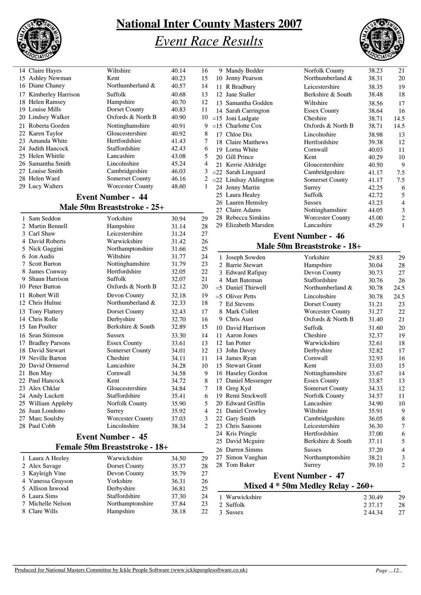

## *Event Race Results*



| 14 Claire Hayes              | Wiltshire                     | 40.14 | 16     | 9 Mandy Bedder          | Norfolk County                        | 38.23 | 21             |
|------------------------------|-------------------------------|-------|--------|-------------------------|---------------------------------------|-------|----------------|
| 15 Ashley Newman             | Kent                          | 40.23 | 15     | 10 Jenny Pearson        | Northumberland &                      | 38.31 | 20             |
| 16 Diane Chaney              | Northumberland &              | 40.57 | 14     | 11 R Bradbury           | Leicestershire                        | 38.35 | 19             |
| 17 Kimberley Harrison        | Suffolk                       | 40.68 | 13     | 12 Jane Staller         | Berkshire & South                     | 38.48 | 18             |
| 18 Helen Ramsey              | Hampshire                     | 40.70 | 12     | 13 Samantha Godden      | Wiltshire                             | 38.56 | 17             |
| 19 Louise Mills              | Dorset County                 | 40.83 | 11     | 14 Sarah Carrington     | <b>Essex County</b>                   | 38.64 | 16             |
| 20 Lindsey Walker            | Oxfords & North B             | 40.90 | 10     | $=15$ Joni Ludgate      | Cheshire                              | 38.71 | 14.5           |
| Roberta Gorden<br>21         | Nottinghamshire               | 40.91 | 9      | $=15$ Charlotte Cox     | Oxfords & North B                     | 38.71 | 14.5           |
| Karen Taylor<br>22           | Gloucestershire               | 40.92 | 8      | 17 Chloe Dix            | Lincolnshire                          | 38.98 | 13             |
| Amanda White<br>23           | Hertfordshire                 | 41.43 | 7      | 18 Claire Matthews      | Hertfordshire                         | 39.38 | 12             |
| 24 Judith Hancock            | Staffordshire                 | 42.43 | 6      | 19 Lorna White          | Cornwall                              | 40.03 | 11             |
| 25 Helen Whittle             | Lancashire                    | 43.08 | 5      | 20 Gill Prince          | Kent                                  | 40.29 | 1 <sup>C</sup> |
| 26 Samantha Smith            | Lincolnshire                  | 45.24 | 4      | 21 Kerrie Aldridge      | Gloucestershire                       | 40.50 | ς              |
| 27 Louise Smith              | Cambridgeshire                | 46.03 | 3      | $=22$ Sarah Linguard    | Cambridgeshire                        | 41.17 | 7.5            |
| 28 Helen Ward                | <b>Somerset County</b>        | 46.16 | 2      | $=22$ Lindsay Aldington | Somerset County                       | 41.17 | 7.5            |
| 29 Lucy Walters              | <b>Worcester County</b>       | 48.60 | 1      | 24 Jenny Martin         | Surrey                                | 42.25 | $\epsilon$     |
|                              | <b>Event Number - 44</b>      |       |        | 25 Laura Healey         | Suffolk                               | 42.72 | 5              |
|                              |                               |       |        | 26 Lauren Hemsley       | <b>Sussex</b>                         | 43.23 | 4              |
|                              | Male 50m Breaststroke - 25+   |       |        | 27 Claire Adams         | Nottinghamshire                       | 44.05 | 3              |
| 1 Sam Seddon                 | Yorkshire                     | 30.94 | 29     | 28 Rebecca Simkins      | <b>Worcester County</b>               | 45.00 | $\overline{2}$ |
| 2 Martin Bennell             | Hampshire                     | 31.14 | 28     | 29 Elizabeth Marsden    | Lancashire                            | 45.29 | $\mathbf{1}$   |
| 3 Carl Shaw                  | Leicestershire                | 31.24 | 27     |                         |                                       |       |                |
| 4 David Roberts              | Warwickshire                  | 31.42 | 26     |                         | <b>Event Number - 46</b>              |       |                |
| 5 Nick Gaggini               | Northamptonshire              | 31.66 | 25     |                         | Male 50m Breaststroke - 18+           |       |                |
| 6 Jon Audis                  | Wiltshire                     | 31.77 | 24     | 1 Joseph Sowden         | Yorkshire                             | 29.83 | 2 <sub>5</sub> |
| 7 Scott Burton               | Nottinghamshire               | 31.79 | 23     | 2 Barrie Stewart        | Hampshire                             | 30.04 | 28             |
| 8 James Conway               | Hertfordshire                 | 32.05 | 22     | 3 Edward Rafipay        | Devon County                          | 30.73 | 27             |
| Shaun Harrison<br>9.         | Suffolk                       | 32.07 | 21     | 4 Matt Bateman          | Staffordshire                         | 30.76 | 26             |
| 10 Peter Button              | Oxfords & North B             | 32.12 | 20     | $=$ 5 Daniel Thirwell   | Northumberland &                      | 30.78 | 24.5           |
| 11 Robert Will               | Devon County                  | 32.18 | 19     |                         |                                       |       |                |
| Chris Hulme<br>12            | Northumberland &              | 32.33 | 18     | $=$ 5 Oliver Petts      | Lincolnshire                          | 30.78 | 24.5           |
|                              |                               |       |        | 7 Ed Stevens            | Dorset County                         | 31.21 | 23             |
| <b>Tony Flattery</b><br>13   | Dorset County                 | 32.43 | 17     | 8 Mark Collett          | <b>Worcester County</b>               | 31.27 | 22             |
| 14 Chris Rolle               | Derbyshire                    | 32.70 | 16     | 9 Chris Aust            | Oxfords & North B                     | 31.40 | 21             |
| 15 Ian Poulter               | Berkshire & South             | 32.89 | 15     | 10 David Harrison       | Suffolk                               | 31.60 | 20             |
| 16 Sean Stimson              | <b>Sussex</b>                 | 33.30 | 14     | 11 Aaron Jones          | Cheshire                              | 32.37 | 15             |
| <b>Bradley Parsons</b><br>17 | <b>Essex County</b>           | 33.61 | 13     | 12 Ian Potter           | Warwickshire                          | 32.61 | 18             |
| David Stewart<br>18          | <b>Somerset County</b>        | 34.01 | 12     | 13 John Davey           | Derbyshire                            | 32.82 | 17             |
| <b>Neville Barton</b><br>19  | Cheshire                      | 34.11 | 11     | 14 James Ryan           | Cornwall                              | 32.93 | 16             |
| 20 David Ormerod             | Lancashire                    | 34.28 | 10     | 15 Stewart Grant        | Kent                                  | 33.03 | 15             |
| 21 Ben May                   | Cornwall                      | 34.58 | 9      | 16 Haseley Gordon       | Nottinghamshire                       | 33.67 | 14             |
| 22 Paul Hancock              | Kent                          | 34.72 | 8      | 17 Daniel Messenger     | <b>Essex County</b>                   | 33.87 | 13             |
| 23 Alex Chklar               | Gloucestershire               | 34.84 | 7      | 18 Greg Kyd             | Somerset County                       | 34.33 | 12             |
| 24 Andy Luckett              | Staffordshire                 | 35.41 | 6      | 19 Remi Stockwell       | Norfolk County                        | 34.57 | 11             |
| 25 William Appleby           | Norfolk County                | 35.90 | 5      | 20 Edward Griffin       | Lancashire                            | 34.90 | 10             |
| 26 Juan Londono              | Surrey                        | 35.92 | 4      | 21 Daniel Crowley       | Wiltshire                             | 35.91 | ς              |
| 27 Marc Soulsby              | <b>Worcester County</b>       | 37.03 | 3      | 22 Gary Smith           | Cambridgeshire                        | 36.05 | 8              |
| 28 Paul Cobb                 | Lincolnshire                  | 38.34 | 2      | 23 Chris Sansom         | Leicestershire                        | 36.30 | 7              |
|                              | <b>Event Number - 45</b>      |       |        | 24 Kris Pringle         | Hertfordshire                         | 37.00 | $\epsilon$     |
|                              | Female 50m Breaststroke - 18+ |       |        | 25 David Mcguire        | Berkshire & South                     | 37.11 | 5              |
|                              |                               |       |        | 26 Darren Simms         | <b>Sussex</b>                         | 37.20 | 4              |
| 1 Laura A Heeley             | Warwickshire                  | 34.50 | 29     | 27 Simon Vaughan        | Northamptonshire                      | 38.21 | 3              |
| 2 Alex Savage                | Dorset County                 | 35.37 | 28     | 28 Tom Baker            | Surrey                                | 39.10 | 2              |
| 3 Kayleigh Vine              | Devon County                  | 35.79 | 27     |                         | <b>Event Number - 47</b>              |       |                |
| 4 Vanessa Grayson            | Yorkshire                     | 36.31 | 26     |                         | Mixed $4 * 50m$ Medley Relay - $260+$ |       |                |
| 5 Allison Inwood             | Derbyshire                    | 36.81 | $25\,$ |                         |                                       |       |                |

### **Mixed 4 \* 50m Medley Relay - 260+**

| 1 Warwickshire | 2 30.49   | 29 |
|----------------|-----------|----|
| 2 Suffolk      | 2 3 7 1 7 | 28 |
| 3 Sussex       | 244.34    | 27 |

Northamptonshire 37.84 23

5 Allison Inwood Derbyshire 36.81 25<br>6 Laura Sims Staffordshire 37.30 24

8 Clare Wills **Hampshire** 38.18 22

6 Laura Sims Staffordshire<br>7 Michelle Nelson Northampton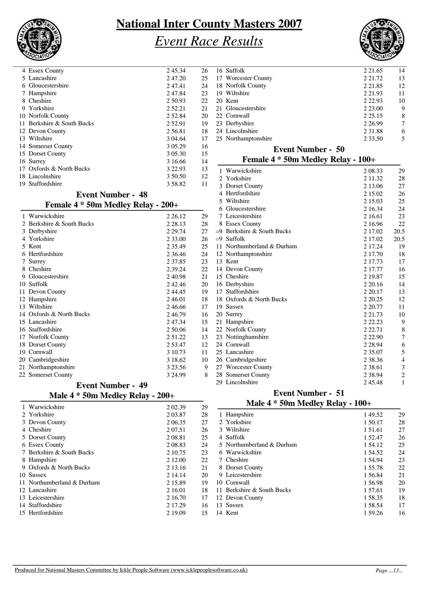

# *Event Race Results*



| 4 Essex County                        | 245.34      | 26                       | 16 Suffolk                         | 2 2 1.65    | 14             |
|---------------------------------------|-------------|--------------------------|------------------------------------|-------------|----------------|
| 5 Lancashire                          | 2 47.20     | 25                       | 17 Worcester County                | 2 2 1.72    | 13             |
| 6 Gloucestershire                     | 247.41      | 24                       | 18 Norfolk County                  | 2 2 1.85    | 12             |
| 7 Hampshire                           | 2 47.84     | 23                       | 19 Wiltshire                       | 2 2 1.93    | 11             |
| 8 Cheshire                            | 2 50.93     | 22                       | 20 Kent                            | 2 2 2.93    | 10             |
| 9 Yorkshire                           | 2 5 2 . 2 1 | 21                       | 21 Gloucestershire                 | 2 2 3 .00   | 9              |
| 10 Norfolk County                     | 2 5 2.8 4   | 20                       | 22 Cornwall                        | 2 2 5 . 1 5 | 8              |
| 11 Berkshire & South Bucks            | 252.91      | 19                       | 23 Derbyshire                      | 2 2 6.99    | 7              |
| 12 Devon County                       | 2 5 6.81    | 18                       | 24 Lincolnshire                    | 2 3 1 . 8 8 | 6              |
| 13 Wiltshire                          | 3 04.64     | 17                       | 25 Northamptonshire                | 2 3 3 .50   | 5              |
| 14 Somerset County                    | 3 05.29     | 16                       | <b>Event Number - 50</b>           |             |                |
| 15 Dorset County                      | 3 05.30     | 15                       |                                    |             |                |
| 16 Surrey                             | 3 16.66     | 14                       | Female 4 * 50m Medley Relay - 100+ |             |                |
| 17 Oxfords & North Bucks              | 3 2 2.9 3   | 13                       | 1 Warwickshire                     | 2 08.33     | 29             |
| 18 Lincolnshire                       | 3 50.50     | 12                       | 2 Yorkshire                        | 2 11.32     | 28             |
| 19 Staffordshire                      | 358.82      | 11                       | 3 Dorset County                    | 2 13.06     | $27\,$         |
| <b>Event Number - 48</b>              |             |                          | 4 Hertfordshire                    | 2 15.02     | 26             |
|                                       |             |                          | 5 Wiltshire                        | 2 15.03     | 25             |
| Female 4 * 50m Medley Relay - 200+    |             |                          | 6 Gloucestershire                  | 2 16.34     | 24             |
| 1 Warwickshire                        | 2 2 6 1 2   | 29                       | 7 Leicestershire                   | 2 16.61     | 23             |
| 2 Berkshire & South Bucks             | 2 2 8 . 1 3 | 28                       | 8 Essex County                     | 2 16.96     | 22             |
| 3 Derbyshire                          | 2 2 9.74    | 27                       | $=9$ Berkshire & South Bucks       | 2 17.02     | 20.5           |
| 4 Yorkshire                           | 2 3 3 .00   | 26                       | $=9$ Suffolk                       | 2 17.02     | 20.5           |
| 5 Kent                                | 2 3 5 . 4 9 | 25                       | 11 Northumberland & Durham         | 2 17.24     | 19             |
| 6 Hertfordshire                       | 2 3 6 4 6   | 24                       | 12 Northamptonshire                | 2 17.70     | 18             |
| 7 Surrey                              | 2 3 7 . 8 5 | 23                       | 13 Kent                            | 2 17.73     | 17             |
| 8 Cheshire                            | 2.39.24     | 22                       | 14 Devon County                    | 2 17.77     | 16             |
| 9 Gloucestershire                     | 2 4 0.98    | 21                       | 15 Cheshire                        | 2 19.87     | 15             |
| 10 Suffolk                            | 242.46      | 20                       | 16 Derbyshire                      | 2 2 0.16    | 14             |
| 11 Devon County                       | 244.45      | 19                       | 17 Staffordshire                   | 2 2 0.17    | 13             |
| 12 Hampshire                          | 246.01      | 18                       | 18 Oxfords & North Bucks           | 2 2 0.25    | 12             |
| 13 Wiltshire                          | 246.66      | 17                       | 19 Sussex                          | 2 2 0.77    | 11             |
| 14 Oxfords & North Bucks              | 246.79      | 16                       | 20 Surrey                          | 2 2 1.73    | 10             |
| 15 Lancashire                         | 2 47.34     | 15                       | 21 Hampshire                       | 2 2 2.23    | 9              |
| 16 Staffordshire                      | 2 50.06     | 14                       | 22 Norfolk County                  | 2 2 2.71    | 8              |
| 17 Norfolk County                     | 2 5 1 . 2 2 | 13                       | 23 Nottinghamshire                 | 2 2 2.90    | 7              |
| 18 Dorset County                      | 2 5 3.47    | 12                       | 24 Cornwall                        | 2 2 8.94    | 6              |
| 19 Cornwall                           | 3 10.73     | 11                       | 25 Lancashire                      | 2 3 5 .07   | 5              |
| 20 Cambridgeshire                     | 3 18.62     | 10                       | 26 Cambridgeshire                  | 2 38.36     | $\overline{4}$ |
| 21 Northamptonshire                   | 3 2 3.56    | 9                        | 27 Worcester County                | 2 38.61     | 3              |
| 22 Somerset County                    | 3 24.99     | 8                        | 28 Somerset County                 | 2 3 8 . 9 4 | 2              |
| <b>Event Number - 49</b>              |             |                          | 29 Lincolnshire                    | 245.48      | 1              |
| Male $4 * 50$ m Medlev Relay - $200+$ |             | <b>Event Number - 51</b> |                                    |             |                |

### **Male 4 \* 50m Medley Relay - 200+**

### **Male 4 \* 50m Medley Relay - 100+**

|            | 1 Warwickshire             | 2 02.39   | 29 | Male $4 * 50m$ Medley Relay - $100+$ |         |                |
|------------|----------------------------|-----------|----|--------------------------------------|---------|----------------|
|            | 2 Yorkshire                | 2 03.87   | 28 | 1 Hampshire                          | 149.52  | 2 <sub>5</sub> |
|            | 3 Devon County             | 2 06.35   | 27 | 2 Yorkshire                          | 1 50.17 | 28             |
| 4 Cheshire |                            | 2 0 7 .51 | 26 | 3 Wiltshire                          | 1 51.61 | 27             |
|            | 5 Dorset County            | 2 08.81   | 25 | 4 Suffolk                            | 1 52.47 | 26             |
|            | 6 Essex County             | 2 08.83   | 24 | 5 Northumberland & Durham            | 1 54.12 | 25             |
|            | 7 Berkshire & South Bucks  | 2 10.75   | 23 | 6 Warwickshire                       | 1 54.52 | 24             |
|            | 8 Hampshire                | 2 12.00   | 22 | 7 Cheshire                           | 1 54.94 | 23             |
|            | 9 Oxfords & North Bucks    | 2 13.16   | 21 | 8 Dorset County                      | 1 55.78 | 22             |
| 10 Sussex  |                            | 2 14.14   | 20 | 9 Leicestershire                     | 1 56.84 | 21             |
|            | 11 Northumberland & Durham | 2 15.89   | 19 | 10 Cornwall                          | 1 56.98 | 20             |
|            | 12 Lancashire              | 2 16.01   | 18 | Berkshire & South Bucks              | 1 57.61 | 19             |
|            | 13 Leicestershire          | 2 16.70   | 17 | 12 Devon County                      | 1 58.35 | 18             |
|            | 14 Staffordshire           | 2 17.29   | 16 | 13 Sussex                            | 1 58.54 | 17             |
|            | 15 Hertfordshire           | 2 19.09   | 15 | 14 Kent                              | 1 59.26 | 16             |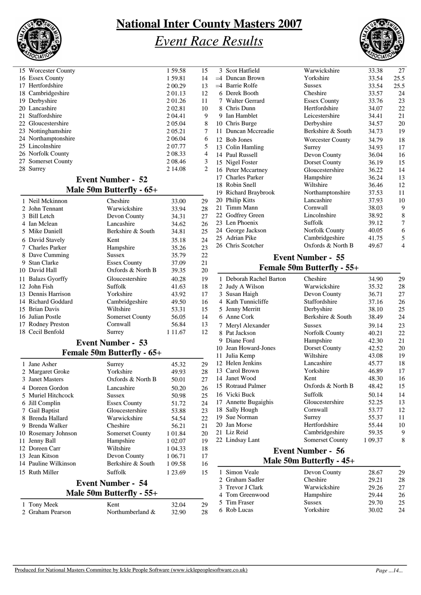

### *Event Race Results*



| 15 Worcester County | 1 59.58 | 15             |
|---------------------|---------|----------------|
| 16 Essex County     | 1 59.81 | 14             |
| 17 Hertfordshire    | 2 00.29 | 13             |
| 18 Cambridgeshire   | 201.13  | 12             |
| 19 Derbyshire       | 2 01.26 | 11             |
| 20 Lancashire       | 2 02.81 | 10             |
| 21 Staffordshire    | 2 04.41 | 9              |
| 22 Gloucestershire  | 2 05.04 | 8              |
| 23 Nottinghamshire  | 2 05.21 | 7              |
| 24 Northamptonshire | 2 06.04 | 6              |
| 25 Lincolnshire     | 2 07.77 | 5              |
| 26 Norfolk County   | 2 08.33 | $\overline{4}$ |
| 27 Somerset County  | 2 08.46 | 3              |
| 28 Surrey           | 2 14.08 | 2              |
|                     |         |                |

#### **Event Number - 52 Male 50m Butterfly - 65+**

|   | 1 Neil Mckinnon    | Cheshire               | 33.00     | 29 |
|---|--------------------|------------------------|-----------|----|
|   | 2 John Tennant     | Warwickshire           | 33.94     | 28 |
|   | 3 Bill Letch       | Devon County           | 34.31     | 27 |
|   | 4 Ian Mclean       | Lancashire             | 34.62     | 26 |
|   | 5 Mike Daniell     | Berkshire & South      | 34.81     | 25 |
|   | 6 David Stavely    | Kent                   | 35.18     | 24 |
|   | 7 Charles Parker   | Hampshire              | 35.26     | 23 |
|   | 8 Dave Cumming     | Sussex                 | 35.79     | 22 |
| 9 | <b>Stan Clarke</b> | <b>Essex County</b>    | 37.09     | 21 |
|   | 10 David Hall      | Oxfords & North B      | 39.35     | 20 |
|   | 11 Balazs Gyorffy  | Gloucestershire        | 40.28     | 19 |
|   | 12 John Fish       | Suffolk                | 41.63     | 18 |
|   | 13 Dennis Harrison | Yorkshire              | 43.92     | 17 |
|   | 14 Richard Goddard | Cambridgeshire         | 49.50     | 16 |
|   | 15 Brian Davis     | Wiltshire              | 53.31     | 15 |
|   | 16 Julian Postle   | <b>Somerset County</b> | 56.05     | 14 |
|   | 17 Rodney Preston  | Cornwall               | 56.84     | 13 |
|   | 18 Cecil Benfold   | Surrey                 | 1 1 1 .67 | 12 |
|   |                    |                        |           |    |

### **Event Number - 53**

### **Female 50m Butterfly - 65+**

|    | 1 Jane Asher         | Surrey                     | 45.32   | 29 |
|----|----------------------|----------------------------|---------|----|
|    | 2 Margaret Groke     | Yorkshire                  | 49.93   | 28 |
| 3  | <b>Janet Masters</b> | Oxfords & North B          | 50.01   | 27 |
|    | Doreen Gordon        | Lancashire                 | 50.20   | 26 |
|    | 5 Muriel Hitchcock   | Sussex                     | 50.98   | 25 |
| 6  | Jill Complin         | <b>Essex County</b>        | 51.72   | 24 |
| 7  | Gail Baptist         | Gloucestershire            | 53.88   | 23 |
|    | 8 Brenda Hallard     | Warwickshire               | 54.54   | 22 |
| 9  | Brenda Walker        | Cheshire                   | 56.21   | 21 |
|    | 10 Rosemary Johnson  | <b>Somerset County</b>     | 1 01.84 | 20 |
| 11 | Jenny Ball           | Hampshire                  | 1 02.07 | 19 |
|    | 12 Doreen Carr       | Wiltshire                  | 1 04.33 | 18 |
|    | 13 Jean Kitson       | Devon County               | 1 06.71 | 17 |
|    | 14 Pauline Wilkinson | Berkshire & South          | 1 09.58 | 16 |
|    | 15 Ruth Miller       | Suffolk                    | 1 23.69 | 15 |
|    |                      | <b>Event Number - 54</b>   |         |    |
|    |                      | Male 50m Butterfly - $55+$ |         |    |
|    | Tony Meek            | Kent                       | 32.04   | 29 |
|    | 2 Graham Pearson     | Northumberland &           | 32.90   | 28 |

|      | 3 Scot Hatfield      | Warwickshire            | 33.38 | 27   |
|------|----------------------|-------------------------|-------|------|
| $=4$ | Duncan Brown         | Yorkshire               | 33.54 | 25.5 |
| $=4$ | Barrie Rolfe         | Sussex                  | 33.54 | 25.5 |
| 6    | Derek Booth          | Cheshire                | 33.57 | 24   |
| 7    | Walter Gerrard       | <b>Essex County</b>     | 33.76 | 23   |
|      | 8 Chris Dunn         | Hertfordshire           | 34.07 | 22   |
| 9    | Ian Hamblet          | Leicestershire          | 34.41 | 21   |
|      | 10 Chris Burge       | Derbyshire              | 34.57 | 20   |
|      | 11 Duncan Mccreadie  | Berkshire & South       | 34.73 | 19   |
|      | 12 Bob Jones         | <b>Worcester County</b> | 34.79 | 18   |
|      | 13 Colin Hamling     | Surrey                  | 34.93 | 17   |
|      | 14 Paul Russell      | Devon County            | 36.04 | 16   |
|      | 15 Nigel Foster      | Dorset County           | 36.19 | 15   |
|      | 16 Peter Mccartney   | Gloucestershire         | 36.22 | 14   |
|      | 17 Charles Parker    | Hampshire               | 36.24 | 13   |
|      | 18 Robin Snell       | Wiltshire               | 36.46 | 12   |
|      | 19 Richard Braybrook | Northamptonshire        | 37.53 | 11   |
| 20   | Philip Kitts         | Lancashire              | 37.93 | 10   |
| 21   | Timm Mann            | Cornwall                | 38.03 | 9    |
|      | 22 Godfrey Green     | Lincolnshire            | 38.92 | 8    |
|      | 23 Len Phoenix       | Suffolk                 | 39.12 | 7    |
|      | 24 George Jackson    | Norfolk County          | 40.05 | 6    |
|      | 25 Adrian Pike       | Cambridgeshire          | 41.75 | 5    |
|      | 26 Chris Scotcher    | Oxfords & North B       | 49.67 | 4    |
|      |                      |                         |       |      |

### **Event Number - 55 Female 50m Butterfly - 55+**

|    | Deborah Rachel Barton    | Cheshire          | 34.90   | 29 |  |  |  |
|----|--------------------------|-------------------|---------|----|--|--|--|
| 2  | Judy A Wilson            | Warwickshire      | 35.32   | 28 |  |  |  |
| 3  | Susan Haigh              | Devon County      | 36.71   | 27 |  |  |  |
| 4  | Kath Tunnicliffe         | Staffordshire     | 37.16   | 26 |  |  |  |
| 5  | Jenny Merritt            | Derbyshire        | 38.10   | 25 |  |  |  |
| 6  | Anne Cork                | Berkshire & South | 38.49   | 24 |  |  |  |
| 7  | Meryl Alexander          | <b>Sussex</b>     | 39.14   | 23 |  |  |  |
|    | 8 Pat Jackson            | Norfolk County    | 40.21   | 22 |  |  |  |
| 9  | Diane Ford               | Hampshire         | 42.30   | 21 |  |  |  |
|    | 10 Jean Howard-Jones     | Dorset County     | 42.52   | 20 |  |  |  |
| 11 | Julia Kemp               | Wiltshire         | 43.08   | 19 |  |  |  |
|    | 12 Helen Jenkins         | Lancashire        | 45.77   | 18 |  |  |  |
|    | 13 Carol Brown           | Yorkshire         | 46.89   | 17 |  |  |  |
|    | 14 Janet Wood            | Kent              | 48.30   | 16 |  |  |  |
|    | 15 Rotraud Palmer        | Oxfords & North B | 48.42   | 15 |  |  |  |
|    | 16 Vicki Buck            | Suffolk           | 50.14   | 14 |  |  |  |
| 17 | <b>Annette Bugaighis</b> | Gloucestershire   | 52.25   | 13 |  |  |  |
|    | 18 Sally Hough           | Cornwall          | 53.77   | 12 |  |  |  |
| 19 | Sue Norman               | Surrey            | 55.37   | 11 |  |  |  |
| 20 | Jan Morse                | Hertfordshire     | 55.44   | 10 |  |  |  |
|    | 21 Liz Reid              | Cambridgeshire    | 59.35   | 9  |  |  |  |
|    | 22 Lindsay Lant          | Somerset County   | 1 09.37 | 8  |  |  |  |
|    | <b>Event Number - 56</b> |                   |         |    |  |  |  |

#### 1 Simon Veale Devon County 28.67 29<br>2 Graham Sadler Cheshire 29.21 28 **Male 50m Butterfly - 45+** 2 Graham Sadler Cheshire 29.21 28<br>3 Trevor J Clark Warwickshire 29.26 27 3 Trevor J Clark Warwickshire 29.26 27<br>4 Tom Greenwood Hampshire 29.44 26 4 Tom Greenwood Hampshire 29.44 26<br>5 Tim Fraser 29.70 25 5 Tim Fraser Sussex 29.70<br>6 Rob Lucas 137325 137325 20.02 6 Rob Lucas Yorkshire 30.02 24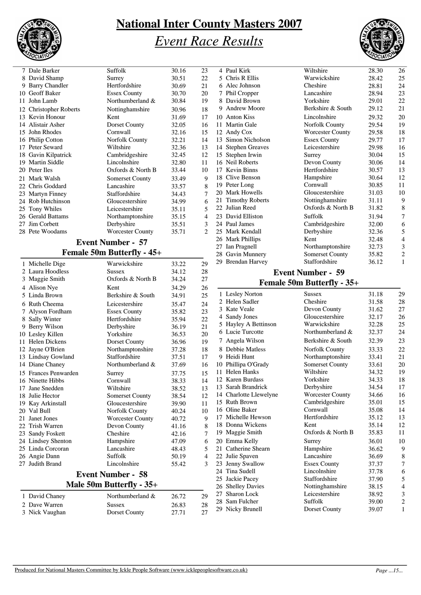

### *Event Race Results* **National Inter County Masters 2007**



Berkshire & South  $29.12$  21

|   | 7 Dale Barker          | Suffolk                 | 30.16 | 23             |
|---|------------------------|-------------------------|-------|----------------|
|   | 8 David Shamp          | Surrey                  | 30.51 | 22             |
| 9 | <b>Barry Chandler</b>  | Hertfordshire           | 30.69 | 21             |
|   | 10 Geoff Baker         | <b>Essex County</b>     | 30.70 | 20             |
|   | 11 John Lamb           | Northumberland &        | 30.84 | 19             |
|   | 12 Christopher Roberts | Nottinghamshire         | 30.96 | 18             |
|   | 13 Kevin Honour        | Kent                    | 31.69 | 17             |
|   | 14 Alistair Asher      | Dorset County           | 32.05 | 16             |
|   | 15 John Rhodes         | Cornwall                | 32.16 | 15             |
|   | 16 Philip Cotton       | Norfolk County          | 32.21 | 14             |
|   | 17 Peter Seward        | Wiltshire               | 32.36 | 13             |
|   | 18 Gavin Kilpatrick    | Cambridgeshire          | 32.45 | 12             |
|   | 19 Martin Siddle       | Lincolnshire            | 32.80 | 11             |
|   | 20 Peter Iles          | Oxfords & North B       | 33.44 | 10             |
|   | 21 Mark Walsh          | Somerset County         | 33.49 | 9              |
|   | 22 Chris Goddard       | Lancashire              | 33.57 | 8              |
|   | 23 Martyn Finney       | Staffordshire           | 34.43 | 7              |
|   | 24 Rob Hutchinson      | Gloucestershire         | 34.99 | 6              |
|   | 25 Tony Whiles         | Leicestershire          | 35.11 | 5              |
|   | 26 Gerald Battams      | Northamptonshire        | 35.15 | $\overline{4}$ |
|   | 27 Jim Corbett         | Derbyshire              | 35.51 | 3              |
|   | 28 Pete Woodams        | <b>Worcester County</b> | 35.71 | 2              |
|   |                        |                         |       |                |

#### **Event Number - 57 Female 50m Butterfly - 45+**

|   | 1 Michelle Dige      | Warwickshire             | 33.22 | 29             |
|---|----------------------|--------------------------|-------|----------------|
|   | 2 Laura Hoodless     | <b>Sussex</b>            | 34.12 | 28             |
|   | 3 Maggie Smith       | Oxfords & North B        | 34.24 | 27             |
|   | 4 Alison Nye         | Kent                     | 34.29 | 26             |
|   | 5 Linda Brown        | Berkshire & South        | 34.91 | 25             |
|   | 6 Ruth Cheema        | Leicestershire           | 35.47 | 24             |
| 7 | Alyson Fordham       | <b>Essex County</b>      | 35.82 | 23             |
|   | 8 Sally Winter       | Hertfordshire            | 35.94 | 22             |
|   | 9 Berry Wilson       | Derbyshire               | 36.19 | 21             |
|   | 10 Lesley Killen     | Yorkshire                | 36.53 | 20             |
|   | 11 Helen Dickens     | Dorset County            | 36.96 | 19             |
|   | 12 Jayne O'Brien     | Northamptonshire         | 37.28 | 18             |
|   | 13 Lindsay Gowland   | Staffordshire            | 37.51 | 17             |
|   | 14 Diane Chaney      | Northumberland &         | 37.69 | 16             |
|   | 15 Frances Penwarden | Surrey                   | 37.75 | 15             |
|   | 16 Ninette Hibbs     | Cornwall                 | 38.33 | 14             |
|   | 17 Jane Snedden      | Wiltshire                | 38.52 | 13             |
|   | 18 Julie Hector      | <b>Somerset County</b>   | 38.54 | 12             |
|   | 19 Kay Arkinstall    | Gloucestershire          | 39.90 | 11             |
|   | 20 Val Bull          | Norfolk County           | 40.24 | 10             |
|   | 21 Janet Jones       | <b>Worcester County</b>  | 40.72 | 9              |
|   | 22 Trish Warren      | Devon County             | 41.16 | 8              |
|   | 23 Sandy Foskett     | Cheshire                 | 42.16 | 7              |
|   | 24 Lindsey Shenton   | Hampshire                | 47.09 | 6              |
|   | 25 Linda Corcoran    | Lancashire               | 48.43 | 5              |
|   | 26 Angie Dann        | <b>Suffolk</b>           | 50.19 | $\overline{4}$ |
|   | 27 Judith Brand      | Lincolnshire             | 55.42 | 3              |
|   |                      | <b>Event Number - 58</b> |       |                |
|   |                      | Male 50m Butterfly - 35+ |       |                |
|   | 1 David Chaney       | Northumberland &         | 26.72 | 29             |
|   | 2 Dave Warren        | <b>Sussex</b>            | 26.83 | 28             |

#### 3 Nick Vaughan Dorset County 27.71 27

|    | 11 Martin Gale         | <b>Norfolk County</b>    | 29.54 | 19             |  |
|----|------------------------|--------------------------|-------|----------------|--|
|    | 12 Andy Cox            | <b>Worcester County</b>  | 29.58 | 18             |  |
| 13 | Simon Nicholson        | <b>Essex County</b>      | 29.77 | 17             |  |
| 14 | <b>Stephen Greaves</b> | Leicestershire           | 29.98 | 16             |  |
|    | 15 Stephen Irwin       | Surrey                   | 30.04 | 15             |  |
|    | 16 Neil Roberts        | Devon County             | 30.06 | 14             |  |
|    | 17 Kevin Binns         | Hertfordshire            | 30.57 | 13             |  |
|    | 18 Clive Benson        | Hampshire                | 30.64 | 12             |  |
|    | 19 Peter Long          | Cornwall                 | 30.85 | 11             |  |
|    | 20 Mark Howells        | Gloucestershire          | 31.03 | 10             |  |
|    | 21 Timothy Roberts     | Nottinghamshire          | 31.11 | 9              |  |
|    | 22 Julian Reed         | Oxfords & North B        | 31.82 | 8              |  |
|    | 23 David Elliston      | <b>Suffolk</b>           | 31.94 | 7              |  |
|    | 24 Paul James          | Cambridgeshire           | 32.00 | 6              |  |
|    | 25 Mark Kendall        | Derbyshire               | 32.36 | 5              |  |
|    | 26 Mark Phillips       | Kent                     | 32.48 | $\overline{4}$ |  |
|    | 27 Ian Pragnell        | Northamptonshire         | 32.73 | 3              |  |
|    | 28 Gavin Munnery       | <b>Somerset County</b>   | 35.82 | 2              |  |
|    | 29 Brendan Harvey      | Staffordshire            | 36.12 | 1              |  |
|    |                        | <b>Event Number - 59</b> |       |                |  |
|    | 1 FA TA JA M<br>ш      |                          |       |                |  |

4 Paul Kirk Wiltshire 28.30 26<br>5 Chris R Ellis Warwickshire 28.42 25 Warwickshire<br>Cheshire 6 Alec Johnson Cheshire 28.81 24<br>
7 Phil Cropper Lancashire 28.94 23 7 Phil Cropper Lancashire 28.94 23<br>8 David Brown Yorkshire 29.01 22 8 David Brown Yorkshire 29.01<br>9 Andrew Moore Berkshire & South 29.12

10 Anton Kiss Lincolnshire 29.32 20

# **Female 50m Butterfly - 35+**

|    | 1 Lesley Norton        | <b>Sussex</b>           | 31.18 | 29             |
|----|------------------------|-------------------------|-------|----------------|
|    | 2 Helen Sadler         | Cheshire                | 31.58 | 28             |
|    | 3 Kate Veale           | Devon County            | 31.62 | 27             |
|    | 4 Sandy Jones          | Gloucestershire         | 32.17 | 26             |
|    | 5 Hayley A Bettinson   | Warwickshire            | 32.28 | 25             |
|    | 6 Lucie Turcotte       | Northumberland &        | 32.37 | 24             |
| 7  | Angela Wilson          | Berkshire & South       | 32.39 | 23             |
|    | 8 Debbie Matless       | <b>Norfolk County</b>   | 33.33 | 22             |
|    | 9 Heidi Hunt           | Northamptonshire        | 33.41 | 21             |
|    | 10 Phillipa O'Grady    | Somerset County         | 33.61 | 20             |
| 11 | <b>Helen Hanks</b>     | Wiltshire               | 34.32 | 19             |
|    | 12 Karen Burdass       | Yorkshire               | 34.33 | 18             |
|    | 13 Sarah Brandrick     | Derbyshire              | 34.54 | 17             |
|    | 14 Charlotte Llewelyne | <b>Worcester County</b> | 34.66 | 16             |
|    | 15 Ruth Brown          | Cambridgeshire          | 35.01 | 15             |
|    | 16 Oline Baker         | Cornwall                | 35.08 | 14             |
|    | 17 Michelle Hewson     | Hertfordshire           | 35.12 | 13             |
|    | 18 Donna Wickens       | Kent                    | 35.14 | 12             |
|    | 19 Maggie Smith        | Oxfords & North B       | 35.83 | 11             |
|    | 20 Emma Kelly          | Surrey                  | 36.01 | 10             |
|    | 21 Catherine Shearn    | Hampshire               | 36.62 | 9              |
|    | 22 Julie Spaven        | Lancashire              | 36.69 | 8              |
|    | 23 Jenny Swallow       | <b>Essex County</b>     | 37.37 | 7              |
|    | 24 Tina Sudell         | Lincolnshire            | 37.78 | 6              |
|    | 25 Jackie Pacey        | Staffordshire           | 37.90 | 5              |
|    | 26 Shelley Davies      | Nottinghamshire         | 38.15 | $\overline{4}$ |
|    | 27 Sharon Lock         | Leicestershire          | 38.92 | 3              |
|    | 28 Sam Fulcher         | Suffolk                 | 39.00 | $\sqrt{2}$     |
|    | 29 Nicky Brunell       | Dorset County           | 39.07 | $\mathbf{1}$   |
|    |                        |                         |       |                |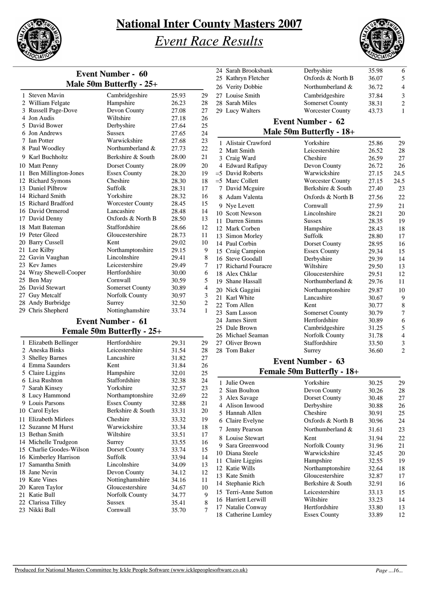

# *Event Race Results*



| <b>Event Number - 60</b> |                                   |       |                |  |
|--------------------------|-----------------------------------|-------|----------------|--|
| Male 50m Butterfly - 25+ |                                   |       |                |  |
| 1 Steven Mavin           | Cambridgeshire                    | 25.93 | 29             |  |
| 2 William Felgate        | Hampshire                         | 26.23 | 28             |  |
| 3 Russell Page-Dove      | Devon County                      | 27.08 | 27             |  |
| 4 Jon Audis              | Wiltshire                         | 27.18 | 26             |  |
| 5 David Bower            | Derbyshire                        | 27.64 | 25             |  |
| 6 Jon Andrews            | <b>Sussex</b>                     | 27.65 | 24             |  |
| 7 Ian Potter             | Warwickshire                      | 27.68 | 23             |  |
| 8 Paul Woodley           | Northumberland &                  | 27.73 | 22             |  |
| 9 Karl Buchholtz         | Berkshire & South                 | 28.00 | 21             |  |
| 10 Matt Penny            | Dorset County                     | 28.09 | 20             |  |
| 11 Ben Millington-Jones  | <b>Essex County</b>               | 28.20 | 19             |  |
| 12 Richard Symons        | Cheshire                          | 28.30 | 18             |  |
| 13 Daniel Pilbrow        | Suffolk                           | 28.31 | 17             |  |
| 14 Richard Smith         | Yorkshire                         | 28.32 | 16             |  |
| 15 Richard Bradford      | <b>Worcester County</b>           | 28.45 | 15             |  |
| 16 David Ormerod         | Lancashire                        | 28.48 | 14             |  |
| 17 David Denny           | Oxfords & North B                 | 28.50 | 13             |  |
| 18 Matt Bateman          | Staffordshire                     | 28.66 | 12             |  |
| 19 Peter Gleed           | Gloucestershire                   | 28.73 | 11             |  |
| 20 Barry Cussell         | Kent                              | 29.02 | 10             |  |
| 21 Lee Kilby             | Northamptonshire                  | 29.15 | 9              |  |
| 22 Gavin Vaughan         | Lincolnshire                      | 29.41 | 8              |  |
| 23 Kev James             | Leicestershire                    | 29.49 | 7              |  |
| 24 Wray Shewell-Cooper   | Hertfordshire                     | 30.00 | 6              |  |
| 25 Ben May               | Cornwall                          | 30.59 | 5              |  |
| 26 David Stewart         | <b>Somerset County</b>            | 30.89 | $\overline{4}$ |  |
| 27 Guy Metcalf           | Norfolk County                    | 30.97 | 3              |  |
| 28 Andy Burbridge        | Surrey                            | 32.50 | $\overline{c}$ |  |
| 29 Chris Shepherd        | Nottinghamshire                   | 33.74 | 1              |  |
|                          | <b>Event Number - 61</b>          |       |                |  |
|                          | <b>Female 50m Butterfly - 25+</b> |       |                |  |

|   | 1 Elizabeth Bellinger    | Hertfordshire       | 29.31 | 29 |
|---|--------------------------|---------------------|-------|----|
|   | 2. Aneska Binks          | Leicestershire      | 31.54 | 28 |
|   | 3 Shelley Barnes         | Lancashire          | 31.82 | 27 |
|   | Emma Saunders            | Kent                | 31.84 | 26 |
|   | 5 Claire Liggins         | Hampshire           | 32.01 | 25 |
|   | 6 Lisa Rushton           | Staffordshire       | 32.38 | 24 |
| 7 | Sarah Kinsey             | Yorkshire           | 32.57 | 23 |
|   | 8 Lucy Hammond           | Northamptonshire    | 32.69 | 22 |
|   | 9 Louis Parsons          | <b>Essex County</b> | 32.88 | 21 |
|   | 10 Carol Eyles           | Berkshire & South   | 33.31 | 20 |
|   | 11 Elizabeth Mirlees     | Cheshire            | 33.32 | 19 |
|   | 12 Suzanne M Hurst       | Warwickshire        | 33.34 | 18 |
|   | 13 Bethan Smith          | Wiltshire           | 33.51 | 17 |
|   | 14 Michelle Trudgeon     | Surrey              | 33.55 | 16 |
|   | 15 Charlie Goodes-Wilson | Dorset County       | 33.74 | 15 |
|   | 16 Kimberley Harrison    | Suffolk             | 33.94 | 14 |
|   | 17 Samantha Smith        | Lincolnshire        | 34.09 | 13 |
|   | 18 Jane Nevin            | Devon County        | 34.12 | 12 |
|   | 19 Kate Vines            | Nottinghamshire     | 34.16 | 11 |
|   | 20 Karen Taylor          | Gloucestershire     | 34.67 | 10 |
|   | 21 Katie Bull            | Norfolk County      | 34.77 | 9  |
|   | 22 Clarissa Tilley       | Sussex              | 35.41 | 8  |
|   | 23 Nikki Ball            | Cornwall            | 35.70 | 7  |
|   |                          |                     |       |    |

|   | 24 Sarah Brooksbank<br>Derbyshire<br>35.98 |                                   |                |                |
|---|--------------------------------------------|-----------------------------------|----------------|----------------|
|   | 25 Kathryn Fletcher                        | 36.07                             | 5              |                |
|   | 26 Verity Dobbie                           | 36.72                             | 4              |                |
|   | 27 Louise Smith                            | Cambridgeshire                    |                | 3              |
|   | 28 Sarah Miles                             | <b>Somerset County</b>            | 37.84<br>38.31 | $\overline{c}$ |
|   | 29 Lucy Walters                            | <b>Worcester County</b>           | 43.73          | 1              |
|   |                                            | <b>Event Number - 62</b>          |                |                |
|   |                                            |                                   |                |                |
|   |                                            | Male 50m Butterfly - 18+          |                |                |
|   | 1 Alistair Crawford                        | Yorkshire                         | 25.86          | 29             |
|   | 2 Matt Smith                               | Leicestershire                    | 26.52          | 28             |
|   | 3 Craig Ward                               | Cheshire                          | 26.59          | 27             |
|   | 4 Edward Rafipay                           | Devon County                      | 26.72          | 26             |
|   | $=5$ David Roberts                         | Warwickshire                      | 27.15          | 24.5           |
|   | $=5$ Marc Collett                          | <b>Worcester County</b>           | 27.15          | 24.5           |
|   | 7 David Mcguire                            | Berkshire & South                 | 27.40          | 23             |
|   | 8 Adam Valenta                             | Oxfords & North B                 | 27.56          | 22             |
|   | 9 Nye Levett                               | Cornwall                          | 27.59          | 21             |
|   | 10 Scott Newson                            | Lincolnshire                      | 28.21          | 20             |
|   | 11 Darren Simms                            | Sussex                            | 28.35          | 19             |
|   | 12 Mark Corben                             | Hampshire                         | 28.43          | 18             |
|   | 13 Simon Morley                            | Suffolk                           | 28.80          | 17             |
|   | 14 Paul Corbin                             | Dorset County                     | 28.95          | 16             |
|   | 15 Craig Campion                           | <b>Essex County</b>               | 29.34          | 15             |
|   | 16 Steve Goodall<br>17 Richartd Fouracre   | Derbyshire<br>Wiltshire           | 29.39<br>29.50 | 14             |
|   | 18 Alex Chklar                             | Gloucestershire                   | 29.51          | 13<br>12       |
|   | 19 Shane Hassall                           | Northumberland &                  | 29.76          | 11             |
|   |                                            |                                   |                |                |
|   | 20 Nick Gaggini<br>21 Karl White           | Northamptonshire<br>Lancashire    | 29.87          | 10             |
|   | 22 Tom Allen                               | Kent                              | 30.67<br>30.77 | 9<br>8         |
|   | 23 Sam Lasson                              | <b>Somerset County</b>            | 30.79          | 7              |
|   | 24 James Sirett                            | Hertfordshire                     | 30.89          | 6              |
|   | 25 Dale Brown                              | Cambridgeshire                    | 31.25          | 5              |
|   | 26 Michael Seaman                          | Norfolk County                    | 31.78          | 4              |
|   | 27 Oliver Brown                            | Staffordshire                     | 33.50          | 3              |
|   | 28 Tom Baker                               | Surrey                            | 36.60          | 2              |
|   |                                            | <b>Event Number - 63</b>          |                |                |
|   |                                            | <b>Female 50m Butterfly - 18+</b> |                |                |
|   |                                            |                                   |                |                |
|   | 1 Julie Owen                               | Yorkshire                         | 30.25          | 29             |
|   | 2 Sian Boulton                             | Devon County                      | 30.26          | 28             |
|   | 3 Alex Savage                              | Dorset County                     | 30.48          | 27             |
|   | 4 Alison Inwood                            | Derbyshire                        | 30.88          | 26             |
|   | 5 Hannah Allen                             | Cheshire<br>Oxfords & North B     | 30.91          | 25             |
|   | 6 Claire Evelyne                           |                                   | 30.96          | 24             |
| 7 | Jenny Pearson                              | Northumberland &                  | 31.61          | 23             |
|   | 8 Louise Stewart                           | Kent                              | 31.94          | 22             |
| 9 | Sara Greenwood                             | Norfolk County                    | 31.96          | 21             |
|   | 10 Diana Steele                            | Warwickshire                      | 32.45          | 20             |
|   | 11 Claire Liggins                          | Hampshire                         | 32.55          | 19             |
|   | 12 Katie Wills                             | Northamptonshire                  | 32.64          | 18             |

| 12 Native Wills      | <b>NOTURALIPROITSILLE</b> | 24.04 | 10. |
|----------------------|---------------------------|-------|-----|
| 13 Kate Smith        | Gloucestershire           | 32.87 | 17  |
| 14 Stephanie Rich    | Berkshire & South         | 32.91 | 16  |
| 15 Terri-Anne Sutton | Leicestershire            | 33.13 | 15  |
| 16 Harriett Lerwill  | Wiltshire                 | 33.23 | 14  |
| 17 Natalie Conway    | Hertfordshire             | 33.80 | 13  |
| 18 Catherine Lumley  | <b>Essex County</b>       | 33.89 | 12  |

Northamptonshire 32.64 18<br>
Gloucestershire 32.87 17 17 Gloucestershire 32.87 917<br>Berkshire & South 32.91 916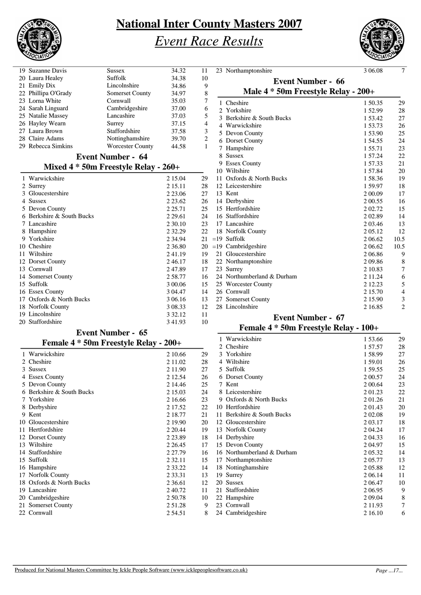

# *Event Race Results*



| 19 Suzanne Davis                         | <b>Sussex</b>            | 34.32       | 11                      | 23 Northamptonshire                   | 3 06.08    | $\overline{7}$ |
|------------------------------------------|--------------------------|-------------|-------------------------|---------------------------------------|------------|----------------|
| 20 Laura Healey                          | Suffolk                  | 34.38       | 10                      | <b>Event Number - 66</b>              |            |                |
| 21 Emily Dix                             | Lincolnshire             | 34.86       | 9                       |                                       |            |                |
| 22 Phillipa O'Grady                      | <b>Somerset County</b>   | 34.97       | $\,$ 8 $\,$             | Male 4 * 50m Freestyle Relay - 200+   |            |                |
| 23 Lorna White                           | Cornwall                 | 35.03       | 7                       | 1 Cheshire                            | 1 50.35    | 29             |
| 24 Sarah Linguard                        | Cambridgeshire           | 37.00       | 6                       | 2 Yorkshire                           | 152.99     | 28             |
| 25 Natalie Massey                        | Lancashire               | 37.03       | 5                       | 3 Berkshire & South Bucks             | 1 53.42    | 27             |
| 26 Hayley Wearn                          | Surrey                   | 37.15       | $\overline{\mathbf{4}}$ | 4 Warwickshire                        | 1 53.73    | 26             |
| 27 Laura Brown                           | Staffordshire            | 37.58       | 3                       |                                       |            |                |
| 28 Claire Adams                          | Nottinghamshire          | 39.70       | $\mathbf{2}$            | 5 Devon County                        | 153.90     | 25             |
| 29 Rebecca Simkins                       | <b>Worcester County</b>  | 44.58       | $\mathbf{1}$            | 6 Dorset County                       | 1 54.55    | 24             |
|                                          |                          |             |                         | 7 Hampshire                           | 1 55.71    | 23             |
|                                          | <b>Event Number - 64</b> |             |                         | 8 Sussex                              | 1 57.24    | 22             |
| Mixed $4 * 50m$ Freestyle Relay - $260+$ |                          |             |                         | 9 Essex County                        | 157.33     | 21             |
|                                          |                          |             |                         | 10 Wiltshire                          | 157.84     | 20             |
| 1 Warwickshire                           |                          | 2 15.04     | 29                      | 11 Oxfords & North Bucks              | 158.36     | 19             |
| 2 Surrey                                 |                          | 2 15.11     | 28                      | 12 Leicestershire                     | 1 59.97    | 18             |
| 3 Gloucestershire                        |                          | 2 2 3 .06   | 27                      | 13 Kent                               | 2 00.09    | 17             |
| 4 Sussex                                 |                          | 2 2 3 . 6 2 | 26                      | 14 Derbyshire                         | 2 00.55    | 16             |
| 5 Devon County                           |                          | 2 2 5 .71   | 25                      | 15 Hertfordshire                      | 2 02.72    | 15             |
| 6 Berkshire & South Bucks                |                          | 2 2 9 . 6 1 | 24                      | 16 Staffordshire                      | 202.89     | 14             |
| 7 Lancashire                             |                          | 2 30.10     | 23                      | 17 Lancashire                         | 2 03.46    | 13             |
| 8 Hampshire                              |                          | 2 3 2.29    | 22                      | 18 Norfolk County                     | 2 05.12    | 12             |
| 9 Yorkshire                              |                          | 2 3 4 . 9 4 | 21                      | $=19$ Suffolk                         | 2 06.62    | 10.5           |
| 10 Cheshire                              |                          | 2 3 6.80    | 20                      | $=19$ Cambridgeshire                  | 2 06.62    | 10.5           |
| 11 Wiltshire                             |                          | 241.19      | 19                      | 21 Gloucestershire                    | 206.86     | 9              |
| 12 Dorset County                         |                          | 246.17      | 18                      | 22 Northamptonshire                   | 209.86     | $\,8\,$        |
| 13 Cornwall                              |                          | 247.89      | 17                      | 23 Surrey                             | 2 10.83    | 7              |
| 14 Somerset County                       |                          | 258.77      | 16                      | 24 Northumberland & Durham            | 2 1 1 . 24 | 6              |
| 15 Suffolk                               |                          | 3 00.06     | 15                      | 25 Worcester County                   | 2 12.23    |                |
|                                          |                          |             |                         |                                       |            | 5              |
| 16 Essex County                          |                          | 3 04.47     | 14                      | 26 Cornwall                           | 2 15.70    | $\overline{4}$ |
| 17 Oxfords & North Bucks                 |                          | 3 06.16     | 13                      | 27 Somerset County                    | 2 15.90    | 3              |
| 18 Norfolk County                        |                          | 3 08.33     | 12                      | 28 Lincolnshire                       | 2 16.85    | 2              |
| 19 Lincolnshire                          |                          | 3 3 2.1 2   | 11                      | <b>Event Number - 67</b>              |            |                |
| 20 Staffordshire                         |                          | 3 4 1.9 3   | 10                      | Female 4 * 50m Freestyle Relay - 100+ |            |                |
|                                          | <b>Event Number - 65</b> |             |                         |                                       |            |                |
| Female 4 * 50m Freestyle Relay - 200+    |                          |             |                         | 1 Warwickshire                        | 153.66     | 29             |
|                                          |                          |             |                         | 2 Cheshire                            | 157.57     | 28             |
| 1 Warwickshire                           |                          | 2 10.66     | 29                      | 3 Yorkshire                           | 158.99     | 27             |
| 2 Cheshire                               |                          | 2 11.02     | 28                      | 4 Wiltshire                           | 1 59.01    | 26             |
| 3 Sussex                                 |                          | 2 11.90     | 27                      | 5 Suffolk                             | 1 59.55    | 25             |
| 4 Essex County                           |                          | 2 12.54     | 26                      | 6 Dorset County                       | 2 00.57    | 24             |
| 5 Devon County                           |                          | 2 14.46     | 25                      | 7 Kent                                | 2 00.64    | 23             |
| 6 Berkshire & South Bucks                |                          | 2 15.03     | 24                      | 8 Leicestershire                      | 201.23     | 22             |
| 7 Yorkshire                              |                          | 2 16.66     | 23                      | 9 Oxfords & North Bucks               | 201.26     | 21             |
| 8 Derbyshire                             |                          | 2 17.52     | 22                      | 10 Hertfordshire                      | 201.43     | 20             |
| 9 Kent                                   |                          | 2 18.77     | 21                      | 11 Berkshire & South Bucks            | 2 02.08    | 19             |
| 10 Gloucestershire                       |                          | 2 19.90     | 20                      | 12 Gloucestershire                    | 2 03.17    | 18             |
| 11 Hertfordshire                         |                          | 2 2 0.44    | 19                      | 13 Norfolk County                     | 2 04.24    | 17             |
| 12 Dorset County                         |                          | 2 2 3.89    | 18                      | 14 Derbyshire                         | 2 04.33    | 16             |
| 13 Wiltshire                             |                          | 2 2 6.45    | 17                      | 15 Devon County                       | 204.97     | 15             |
|                                          |                          |             |                         |                                       |            |                |
| 14 Staffordshire                         |                          | 2 27.79     | 16                      | 16 Northumberland & Durham            | 2 05.32    | 14             |
| 15 Suffolk                               |                          | 2 3 2 . 11  | 15                      | 17 Northamptonshire                   | 2 05.77    | 13             |
| 16 Hampshire                             |                          | 2 3 3.22    | 14                      | 18 Nottinghamshire                    | 205.88     | 12             |
| 17 Norfolk County                        |                          | 2 3 3 . 3 1 | 13                      | 19 Surrey                             | 2 06.14    | 11             |
| 18 Oxfords & North Bucks                 |                          | 2 3 6 . 6 1 | 12                      | 20 Sussex                             | 2 06.47    | 10             |
| 19 Lancashire                            |                          | 2 40.72     | 11                      | 21 Staffordshire                      | 2 06.95    | 9              |
| 20 Cambridgeshire                        |                          | 2 50.78     | 10                      | 22 Hampshire                          | 2 09:04    | 8              |
| 21 Somerset County                       |                          | 251.28      | 9                       | 23 Cornwall                           | 2 1 1.93   | 7              |
| 22 Cornwall                              |                          | 254.51      | 8                       | 24 Cambridgeshire                     | 2 16.10    | 6              |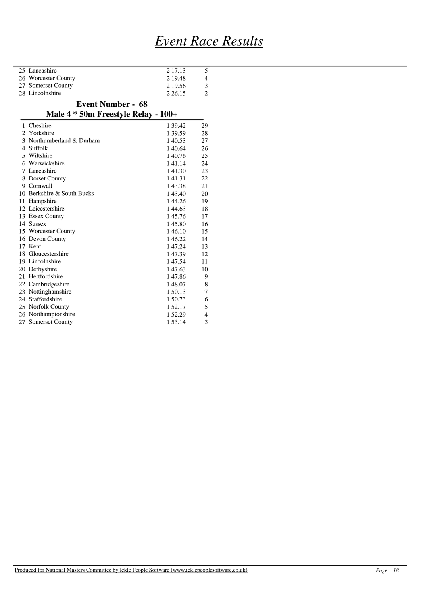# *Event Race Results*

| 25 Lancashire       | 2 17.13   |   |
|---------------------|-----------|---|
| 26 Worcester County | 2 19.48   | 4 |
| 27 Somerset County  | 2 19.56   |   |
| 28 Lincolnshire     | 2 2 6 1 5 |   |
|                     |           |   |

#### **Event Number - 68**

### **Male 4 \* 50m Freestyle Relay - 100+**

| Cheshire                   | 1 39.42 | 29 |
|----------------------------|---------|----|
| 2 Yorkshire                | 1 39.59 | 28 |
| 3 Northumberland & Durham  | 140.53  | 27 |
| 4 Suffolk                  | 1 40.64 | 26 |
| 5 Wiltshire                | 140.76  | 25 |
| 6 Warwickshire             | 141.14  | 24 |
| 7 Lancashire               | 141.30  | 23 |
| 8 Dorset County            | 141.31  | 22 |
| 9 Cornwall                 | 143.38  | 21 |
| 10 Berkshire & South Bucks | 143.40  | 20 |
| 11 Hampshire               | 144.26  | 19 |
| 12 Leicestershire          | 144.63  | 18 |
| 13 Essex County            | 145.76  | 17 |
| 14 Sussex                  | 145.80  | 16 |
| 15 Worcester County        | 146.10  | 15 |
| 16 Devon County            | 146.22  | 14 |
| 17 Kent                    | 1 47.24 | 13 |
| 18 Gloucestershire         | 147.39  | 12 |
| 19 Lincolnshire            | 1 47.54 | 11 |
| 20 Derbyshire              | 147.63  | 10 |
| 21 Hertfordshire           | 147.86  | 9  |
| 22 Cambridgeshire          | 148.07  | 8  |
| 23 Nottinghamshire         | 1 50.13 | 7  |
| 24 Staffordshire           | 1 50.73 | 6  |
| 25 Norfolk County          | 1 52.17 | 5  |
| 26 Northamptonshire        | 1 52.29 | 4  |
| 27 Somerset County         | 1 53.14 | 3  |
|                            |         |    |